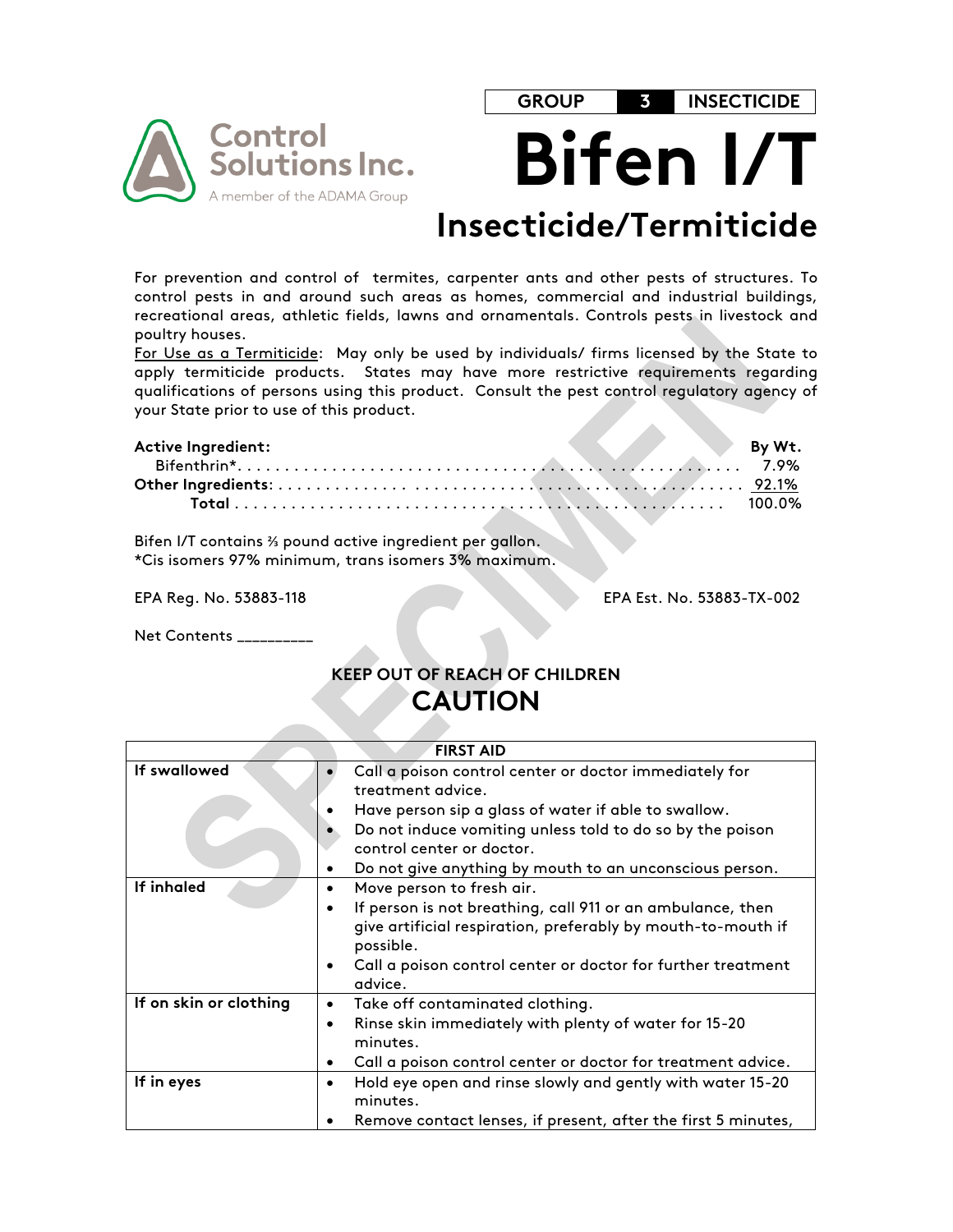

**GROUP 3 INSECTICIDE**





# **Insecticide/Termiticide**

For prevention and control of termites, carpenter ants and other pests of structures. To control pests in and around such areas as homes, commercial and industrial buildings, recreational areas, athletic fields, lawns and ornamentals. Controls pests in livestock and poultry houses.

For Use as a Termiticide: May only be used by individuals/ firms licensed by the State to apply termiticide products. States may have more restrictive requirements regarding qualifications of persons using this product. Consult the pest control regulatory agency of your State prior to use of this product.

| <b>Active Ingredient:</b> |  |  |  | By Wt. |
|---------------------------|--|--|--|--------|
|                           |  |  |  |        |
|                           |  |  |  |        |
|                           |  |  |  |        |

Bifen I/T contains ⅔ pound active ingredient per gallon. \*Cis isomers 97% minimum, trans isomers 3% maximum.

EPA Reg. No. 53883-118 EPA Est. No. 53883-TX-002

Net Contents \_\_\_\_\_\_\_\_\_\_

# **KEEP OUT OF REACH OF CHILDREN CAUTION**

|                        | <b>FIRST AID</b>                                                                                                                                     |
|------------------------|------------------------------------------------------------------------------------------------------------------------------------------------------|
| If swallowed           | Call a poison control center or doctor immediately for<br>treatment advice.                                                                          |
|                        | Have person sip a glass of water if able to swallow.                                                                                                 |
|                        | Do not induce vomiting unless told to do so by the poison                                                                                            |
|                        | control center or doctor.                                                                                                                            |
|                        | Do not give anything by mouth to an unconscious person.                                                                                              |
| If inhaled             | Move person to fresh air.<br>٠                                                                                                                       |
|                        | If person is not breathing, call 911 or an ambulance, then<br>$\bullet$<br>give artificial respiration, preferably by mouth-to-mouth if<br>possible. |
|                        | Call a poison control center or doctor for further treatment<br>$\bullet$<br>advice.                                                                 |
| If on skin or clothing | Take off contaminated clothing.<br>٠                                                                                                                 |
|                        | Rinse skin immediately with plenty of water for 15-20<br>$\bullet$<br>minutes.                                                                       |
|                        | Call a poison control center or doctor for treatment advice.<br>$\bullet$                                                                            |
| If in eyes             | Hold eye open and rinse slowly and gently with water 15-20<br>$\bullet$<br>minutes.                                                                  |
|                        | Remove contact lenses, if present, after the first 5 minutes,                                                                                        |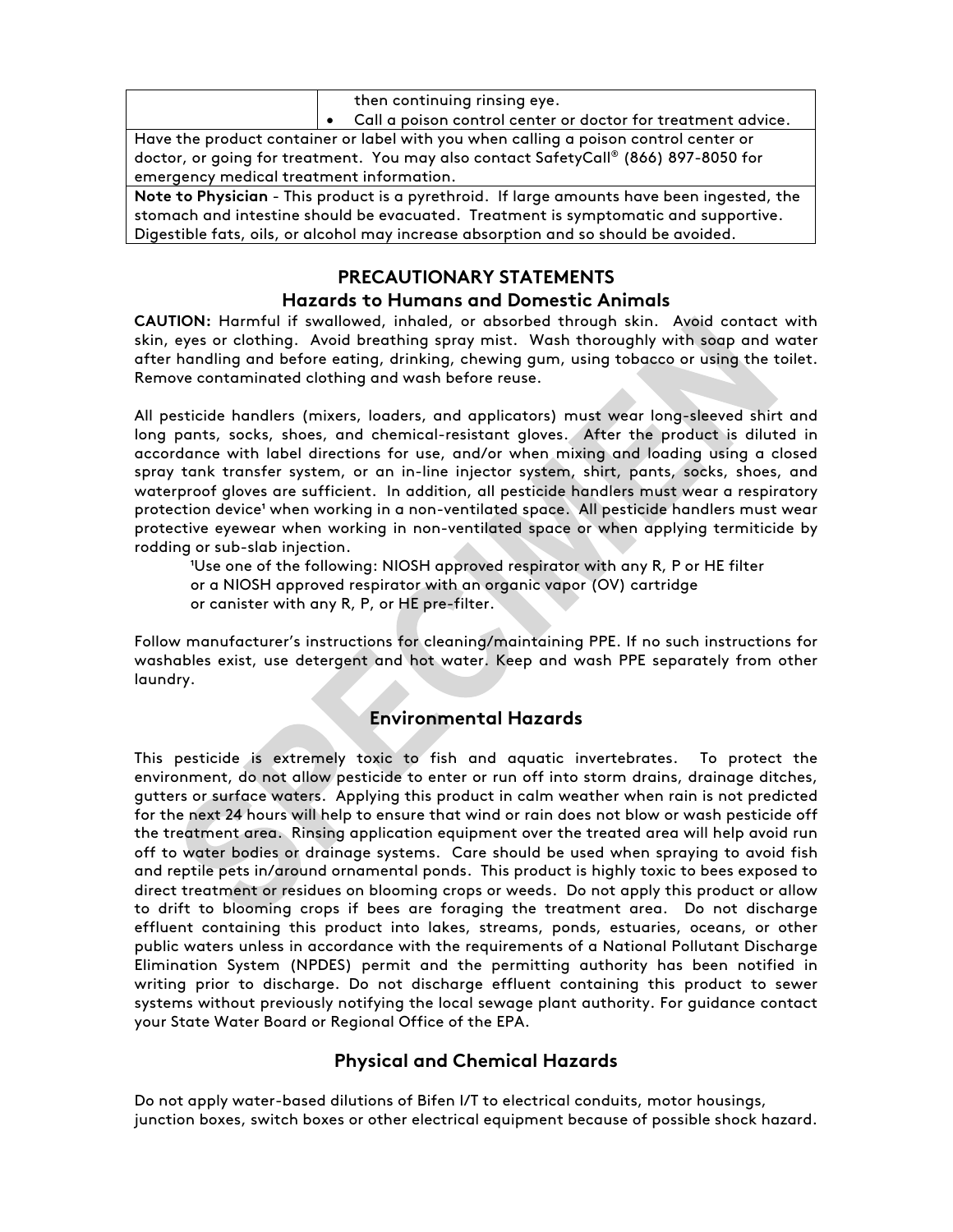|                                                                                            |                                                                                     | then continuing rinsing eye.                                 |  |  |  |
|--------------------------------------------------------------------------------------------|-------------------------------------------------------------------------------------|--------------------------------------------------------------|--|--|--|
|                                                                                            |                                                                                     | Call a poison control center or doctor for treatment advice. |  |  |  |
| Have the product container or label with you when calling a poison control center or       |                                                                                     |                                                              |  |  |  |
|                                                                                            | doctor, or going for treatment. You may also contact SafetyCall® (866) 897-8050 for |                                                              |  |  |  |
| emergency medical treatment information.                                                   |                                                                                     |                                                              |  |  |  |
| Note to Physician - This product is a pyrethroid. If large amounts have been ingested, the |                                                                                     |                                                              |  |  |  |
|                                                                                            |                                                                                     |                                                              |  |  |  |

stomach and intestine should be evacuated. Treatment is symptomatic and supportive. Digestible fats, oils, or alcohol may increase absorption and so should be avoided.

# **PRECAUTIONARY STATEMENTS**

# **Hazards to Humans and Domestic Animals**

**CAUTION:** Harmful if swallowed, inhaled, or absorbed through skin. Avoid contact with skin, eyes or clothing. Avoid breathing spray mist. Wash thoroughly with soap and water after handling and before eating, drinking, chewing gum, using tobacco or using the toilet. Remove contaminated clothing and wash before reuse.

All pesticide handlers (mixers, loaders, and applicators) must wear long-sleeved shirt and long pants, socks, shoes, and chemical-resistant gloves. After the product is diluted in accordance with label directions for use, and/or when mixing and loading using a closed spray tank transfer system, or an in-line injector system, shirt, pants, socks, shoes, and waterproof gloves are sufficient. In addition, all pesticide handlers must wear a respiratory protection device' when working in a non-ventilated space. All pesticide handlers must wear protective eyewear when working in non-ventilated space or when applying termiticide by rodding or sub-slab injection.

'Use one of the following: NIOSH approved respirator with any R, P or HE filter or a NIOSH approved respirator with an organic vapor (OV) cartridge or canister with any R, P, or HE pre-filter.

Follow manufacturer's instructions for cleaning/maintaining PPE. If no such instructions for washables exist, use detergent and hot water. Keep and wash PPE separately from other laundry.

# **Environmental Hazards**

This pesticide is extremely toxic to fish and aquatic invertebrates. To protect the environment, do not allow pesticide to enter or run off into storm drains, drainage ditches, gutters or surface waters. Applying this product in calm weather when rain is not predicted for the next 24 hours will help to ensure that wind or rain does not blow or wash pesticide off the treatment area. Rinsing application equipment over the treated area will help avoid run off to water bodies or drainage systems. Care should be used when spraying to avoid fish and reptile pets in/around ornamental ponds. This product is highly toxic to bees exposed to direct treatment or residues on blooming crops or weeds. Do not apply this product or allow to drift to blooming crops if bees are foraging the treatment area. Do not discharge effluent containing this product into lakes, streams, ponds, estuaries, oceans, or other public waters unless in accordance with the requirements of a National Pollutant Discharge Elimination System (NPDES) permit and the permitting authority has been notified in writing prior to discharge. Do not discharge effluent containing this product to sewer systems without previously notifying the local sewage plant authority. For guidance contact your State Water Board or Regional Office of the EPA.

# **Physical and Chemical Hazards**

Do not apply water-based dilutions of Bifen I/T to electrical conduits, motor housings, junction boxes, switch boxes or other electrical equipment because of possible shock hazard.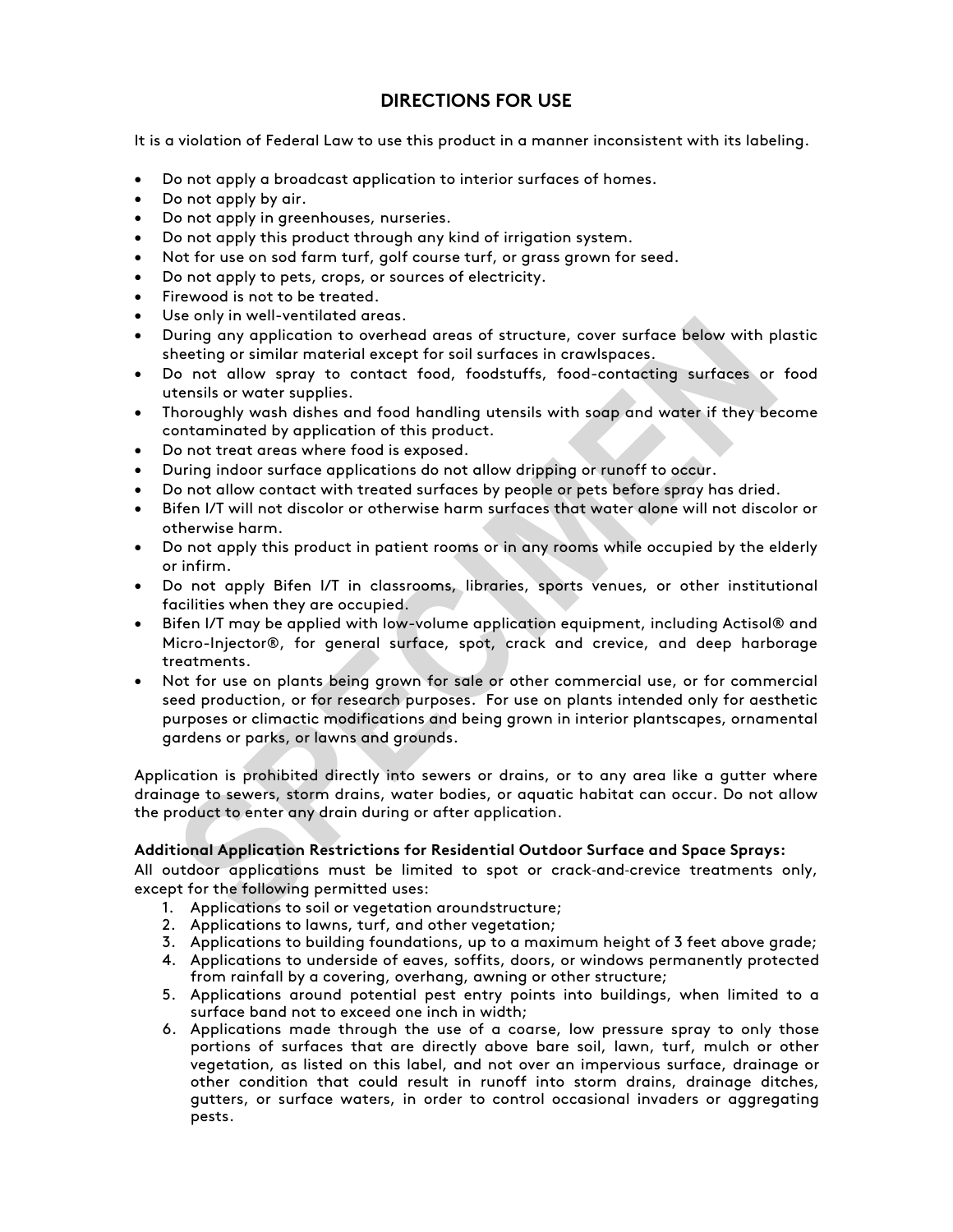# **DIRECTIONS FOR USE**

It is a violation of Federal Law to use this product in a manner inconsistent with its labeling.

- Do not apply a broadcast application to interior surfaces of homes.
- Do not apply by air.
- Do not apply in greenhouses, nurseries.
- Do not apply this product through any kind of irrigation system.
- Not for use on sod farm turf, golf course turf, or grass grown for seed.
- Do not apply to pets, crops, or sources of electricity.
- Firewood is not to be treated.
- Use only in well-ventilated areas.
- During any application to overhead areas of structure, cover surface below with plastic sheeting or similar material except for soil surfaces in crawlspaces.
- Do not allow spray to contact food, foodstuffs, food-contacting surfaces or food utensils or water supplies.
- Thoroughly wash dishes and food handling utensils with soap and water if they become contaminated by application of this product.
- Do not treat areas where food is exposed.
- During indoor surface applications do not allow dripping or runoff to occur.
- Do not allow contact with treated surfaces by people or pets before spray has dried.
- Bifen I/T will not discolor or otherwise harm surfaces that water alone will not discolor or otherwise harm.
- Do not apply this product in patient rooms or in any rooms while occupied by the elderly or infirm.
- Do not apply Bifen I/T in classrooms, libraries, sports venues, or other institutional facilities when they are occupied.
- Bifen I/T may be applied with low-volume application equipment, including Actisol® and Micro-Injector®, for general surface, spot, crack and crevice, and deep harborage treatments.
- Not for use on plants being grown for sale or other commercial use, or for commercial seed production, or for research purposes. For use on plants intended only for aesthetic purposes or climactic modifications and being grown in interior plantscapes, ornamental gardens or parks, or lawns and grounds.

Application is prohibited directly into sewers or drains, or to any area like a gutter where drainage to sewers, storm drains, water bodies, or aquatic habitat can occur. Do not allow the product to enter any drain during or after application.

#### **Additional Application Restrictions for Residential Outdoor Surface and Space Sprays:**

All outdoor applications must be limited to spot or crack-and-crevice treatments only, except for the following permitted uses:

- 1. Applications to soil or vegetation aroundstructure;
- 2. Applications to lawns, turf, and other vegetation;
- 3. Applications to building foundations, up to a maximum height of 3 feet above grade;
- 4. Applications to underside of eaves, soffits, doors, or windows permanently protected from rainfall by a covering, overhang, awning or other structure;
- 5. Applications around potential pest entry points into buildings, when limited to a surface band not to exceed one inch in width;
- 6. Applications made through the use of a coarse, low pressure spray to only those portions of surfaces that are directly above bare soil, lawn, turf, mulch or other vegetation, as listed on this label, and not over an impervious surface, drainage or other condition that could result in runoff into storm drains, drainage ditches, gutters, or surface waters, in order to control occasional invaders or aggregating pests.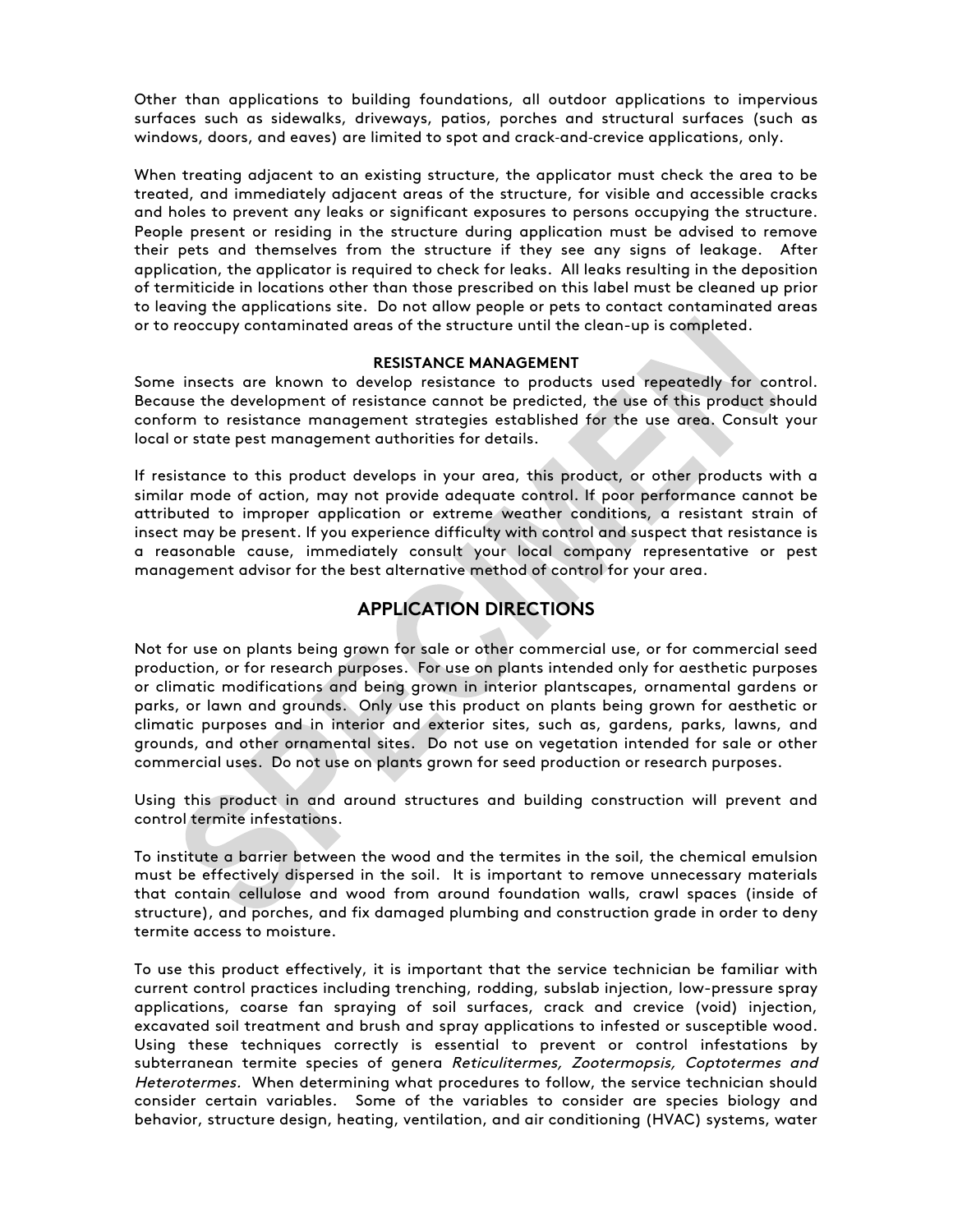Other than applications to building foundations, all outdoor applications to impervious surfaces such as sidewalks, driveways, patios, porches and structural surfaces (such as windows, doors, and eaves) are limited to spot and crack-and-crevice applications, only.

When treating adjacent to an existing structure, the applicator must check the area to be treated, and immediately adjacent areas of the structure, for visible and accessible cracks and holes to prevent any leaks or significant exposures to persons occupying the structure. People present or residing in the structure during application must be advised to remove their pets and themselves from the structure if they see any signs of leakage. After application, the applicator is required to check for leaks. All leaks resulting in the deposition of termiticide in locations other than those prescribed on this label must be cleaned up prior to leaving the applications site. Do not allow people or pets to contact contaminated areas or to reoccupy contaminated areas of the structure until the clean-up is completed.

#### **RESISTANCE MANAGEMENT**

Some insects are known to develop resistance to products used repeatedly for control. Because the development of resistance cannot be predicted, the use of this product should conform to resistance management strategies established for the use area. Consult your local or state pest management authorities for details.

If resistance to this product develops in your area, this product, or other products with a similar mode of action, may not provide adequate control. If poor performance cannot be attributed to improper application or extreme weather conditions, a resistant strain of insect may be present. If you experience difficulty with control and suspect that resistance is a reasonable cause, immediately consult your local company representative or pest management advisor for the best alternative method of control for your area.

# **APPLICATION DIRECTIONS**

Not for use on plants being grown for sale or other commercial use, or for commercial seed production, or for research purposes. For use on plants intended only for aesthetic purposes or climatic modifications and being grown in interior plantscapes, ornamental gardens or parks, or lawn and grounds. Only use this product on plants being grown for aesthetic or climatic purposes and in interior and exterior sites, such as, gardens, parks, lawns, and grounds, and other ornamental sites. Do not use on vegetation intended for sale or other commercial uses. Do not use on plants grown for seed production or research purposes.

Using this product in and around structures and building construction will prevent and control termite infestations.

To institute a barrier between the wood and the termites in the soil, the chemical emulsion must be effectively dispersed in the soil. It is important to remove unnecessary materials that contain cellulose and wood from around foundation walls, crawl spaces (inside of structure), and porches, and fix damaged plumbing and construction grade in order to deny termite access to moisture.

To use this product effectively, it is important that the service technician be familiar with current control practices including trenching, rodding, subslab injection, low-pressure spray applications, coarse fan spraying of soil surfaces, crack and crevice (void) injection, excavated soil treatment and brush and spray applications to infested or susceptible wood. Using these techniques correctly is essential to prevent or control infestations by subterranean termite species of genera Reticulitermes, Zootermopsis, Coptotermes and Heterotermes. When determining what procedures to follow, the service technician should consider certain variables. Some of the variables to consider are species biology and behavior, structure design, heating, ventilation, and air conditioning (HVAC) systems, water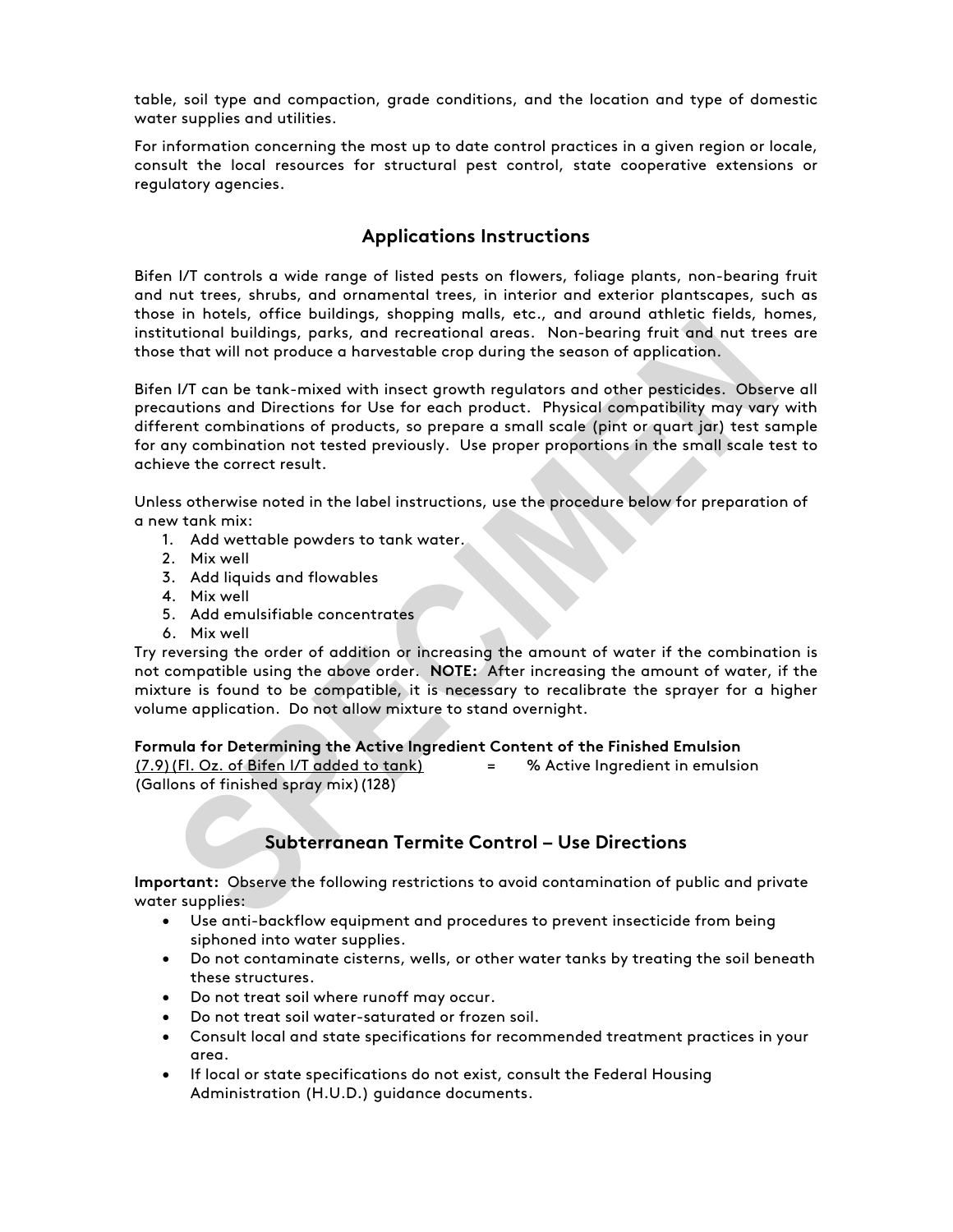table, soil type and compaction, grade conditions, and the location and type of domestic water supplies and utilities.

For information concerning the most up to date control practices in a given region or locale, consult the local resources for structural pest control, state cooperative extensions or regulatory agencies.

# **Applications Instructions**

Bifen I/T controls a wide range of listed pests on flowers, foliage plants, non-bearing fruit and nut trees, shrubs, and ornamental trees, in interior and exterior plantscapes, such as those in hotels, office buildings, shopping malls, etc., and around athletic fields, homes, institutional buildings, parks, and recreational areas. Non-bearing fruit and nut trees are those that will not produce a harvestable crop during the season of application.

Bifen I/T can be tank-mixed with insect growth regulators and other pesticides. Observe all precautions and Directions for Use for each product. Physical compatibility may vary with different combinations of products, so prepare a small scale (pint or quart jar) test sample for any combination not tested previously. Use proper proportions in the small scale test to achieve the correct result.

Unless otherwise noted in the label instructions, use the procedure below for preparation of a new tank mix:

- 1. Add wettable powders to tank water.
- 2. Mix well
- 3. Add liquids and flowables
- 4. Mix well
- 5. Add emulsifiable concentrates
- 6. Mix well

Try reversing the order of addition or increasing the amount of water if the combination is not compatible using the above order. **NOTE:** After increasing the amount of water, if the mixture is found to be compatible, it is necessary to recalibrate the sprayer for a higher volume application. Do not allow mixture to stand overnight.

#### **Formula for Determining the Active Ingredient Content of the Finished Emulsion**

(7.9)(Fl. Oz. of Bifen I/T added to tank) = % Active Ingredient in emulsion (Gallons of finished spray mix)(128)

# **Subterranean Termite Control – Use Directions**

**Important:** Observe the following restrictions to avoid contamination of public and private water supplies:

- Use anti-backflow equipment and procedures to prevent insecticide from being siphoned into water supplies.
- Do not contaminate cisterns, wells, or other water tanks by treating the soil beneath these structures.
- Do not treat soil where runoff may occur.
- Do not treat soil water-saturated or frozen soil.
- Consult local and state specifications for recommended treatment practices in your area.
- If local or state specifications do not exist, consult the Federal Housing Administration (H.U.D.) guidance documents.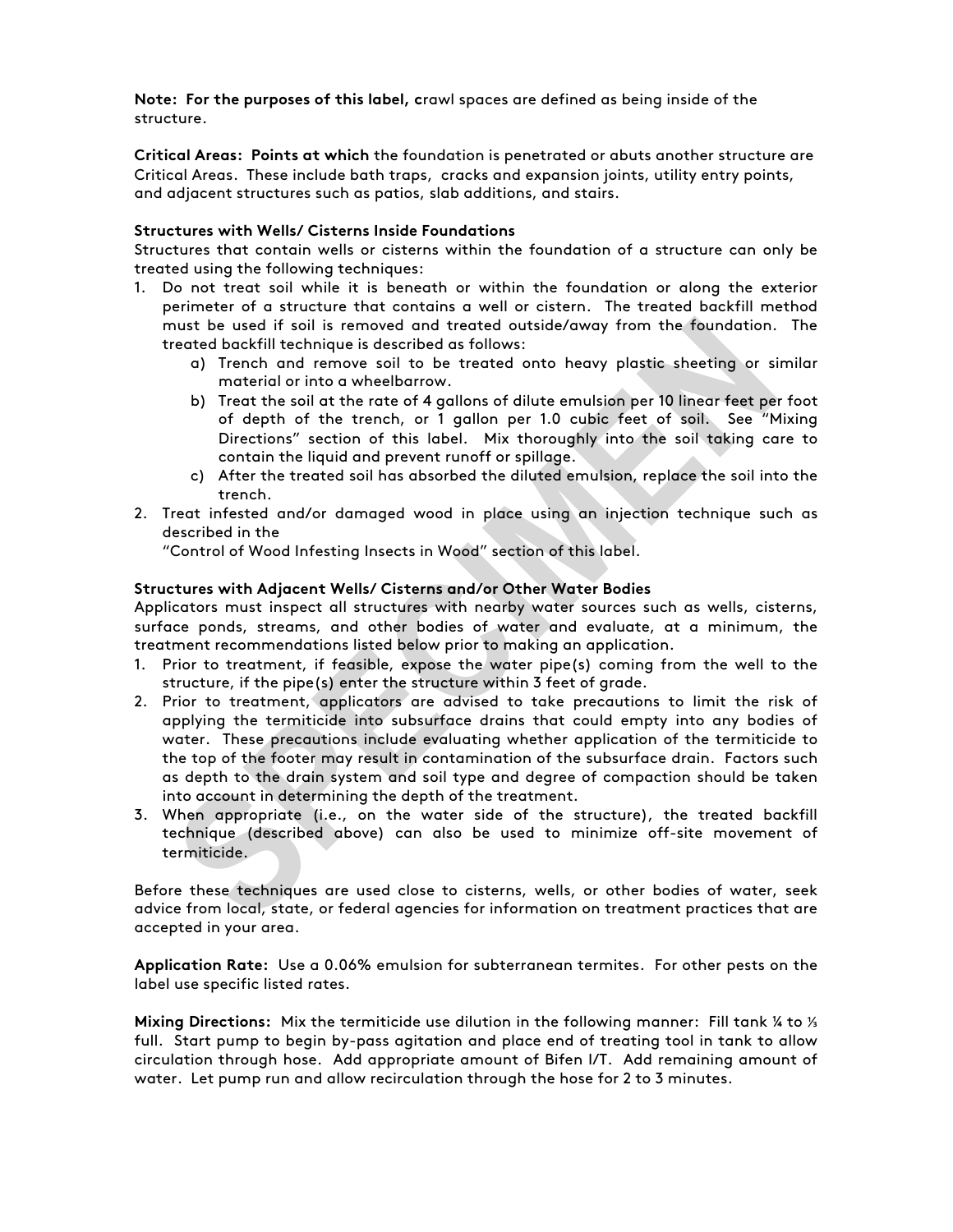**Note: For the purposes of this label, c**rawl spaces are defined as being inside of the structure.

**Critical Areas: Points at which** the foundation is penetrated or abuts another structure are Critical Areas. These include bath traps, cracks and expansion joints, utility entry points, and adjacent structures such as patios, slab additions, and stairs.

#### **Structures with Wells/ Cisterns Inside Foundations**

Structures that contain wells or cisterns within the foundation of a structure can only be treated using the following techniques:

- 1. Do not treat soil while it is beneath or within the foundation or along the exterior perimeter of a structure that contains a well or cistern. The treated backfill method must be used if soil is removed and treated outside/away from the foundation. The treated backfill technique is described as follows:
	- a) Trench and remove soil to be treated onto heavy plastic sheeting or similar material or into a wheelbarrow.
	- b) Treat the soil at the rate of 4 gallons of dilute emulsion per 10 linear feet per foot of depth of the trench, or 1 gallon per 1.0 cubic feet of soil. See "Mixing Directions" section of this label. Mix thoroughly into the soil taking care to contain the liquid and prevent runoff or spillage.
	- c) After the treated soil has absorbed the diluted emulsion, replace the soil into the trench.
- 2. Treat infested and/or damaged wood in place using an injection technique such as described in the

"Control of Wood Infesting Insects in Wood" section of this label.

#### **Structures with Adjacent Wells/ Cisterns and/or Other Water Bodies**

Applicators must inspect all structures with nearby water sources such as wells, cisterns, surface ponds, streams, and other bodies of water and evaluate, at a minimum, the treatment recommendations listed below prior to making an application.

- 1. Prior to treatment, if feasible, expose the water pipe(s) coming from the well to the structure, if the pipe(s) enter the structure within 3 feet of grade.
- 2. Prior to treatment, applicators are advised to take precautions to limit the risk of applying the termiticide into subsurface drains that could empty into any bodies of water. These precautions include evaluating whether application of the termiticide to the top of the footer may result in contamination of the subsurface drain. Factors such as depth to the drain system and soil type and degree of compaction should be taken into account in determining the depth of the treatment.
- 3. When appropriate (i.e., on the water side of the structure), the treated backfill technique (described above) can also be used to minimize off-site movement of termiticide.

Before these techniques are used close to cisterns, wells, or other bodies of water, seek advice from local, state, or federal agencies for information on treatment practices that are accepted in your area.

**Application Rate:** Use a 0.06% emulsion for subterranean termites. For other pests on the label use specific listed rates.

**Mixing Directions:** Mix the termiticide use dilution in the following manner: Fill tank ¼ to ⅓ full. Start pump to begin by-pass agitation and place end of treating tool in tank to allow circulation through hose. Add appropriate amount of Bifen I/T. Add remaining amount of water. Let pump run and allow recirculation through the hose for 2 to 3 minutes.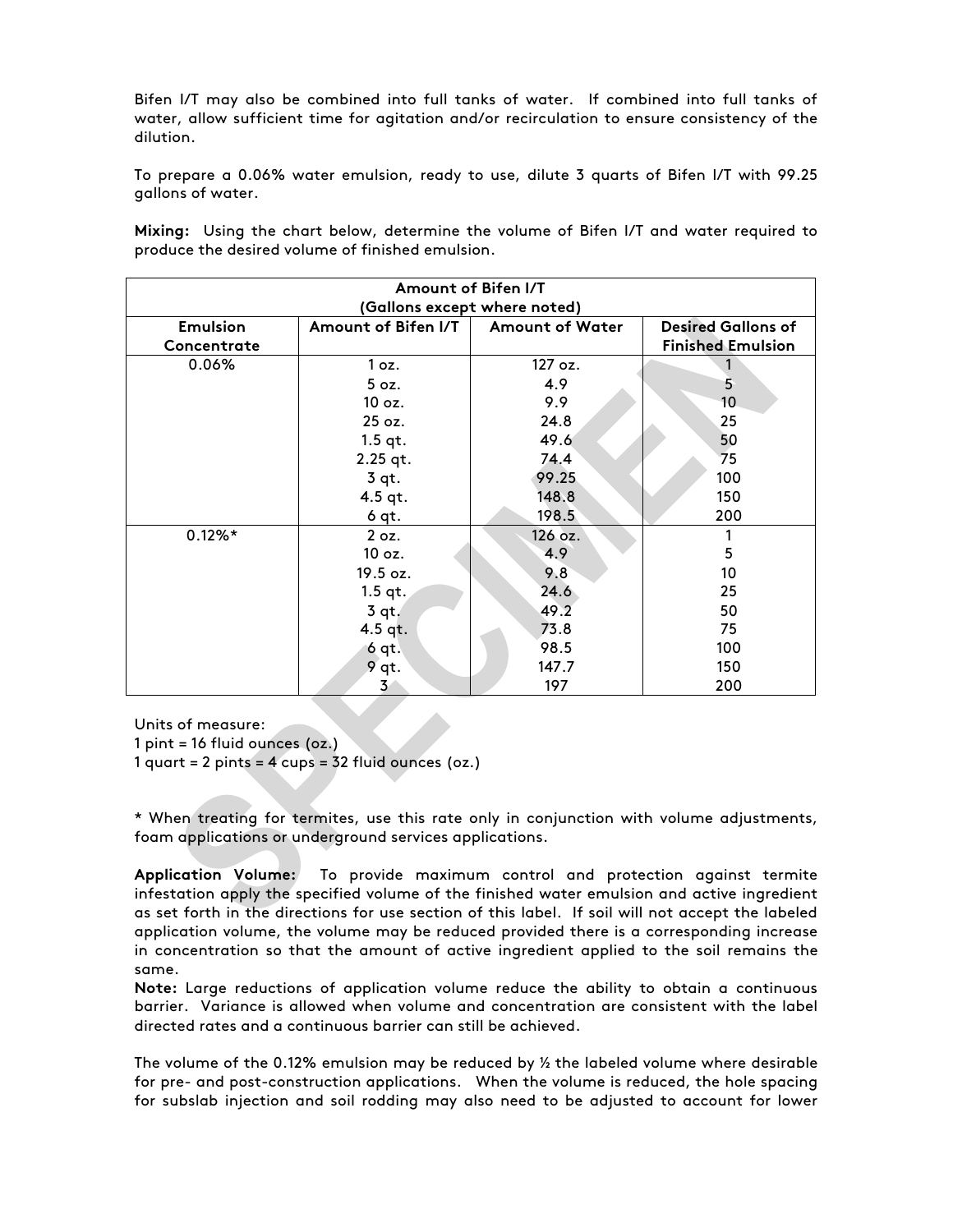Bifen I/T may also be combined into full tanks of water. If combined into full tanks of water, allow sufficient time for agitation and/or recirculation to ensure consistency of the dilution.

To prepare a 0.06% water emulsion, ready to use, dilute 3 quarts of Bifen I/T with 99.25 gallons of water.

**Mixing:** Using the chart below, determine the volume of Bifen I/T and water required to produce the desired volume of finished emulsion.

| Amount of Bifen I/T |                              |                 |                           |  |  |  |
|---------------------|------------------------------|-----------------|---------------------------|--|--|--|
|                     | (Gallons except where noted) |                 |                           |  |  |  |
| <b>Emulsion</b>     | Amount of Bifen I/T          | Amount of Water | <b>Desired Gallons of</b> |  |  |  |
| Concentrate         |                              |                 | <b>Finished Emulsion</b>  |  |  |  |
| 0.06%               | 1 oz.                        | 127 oz.         |                           |  |  |  |
|                     | 5 oz.                        | 4.9             | 5                         |  |  |  |
|                     | 10 oz.                       | 9.9             | 10                        |  |  |  |
|                     | $25$ oz.                     | 24.8            | 25                        |  |  |  |
|                     | $1.5$ qt.                    | 49.6            | 50                        |  |  |  |
|                     | 2.25 qt.                     | 74.4            | 75                        |  |  |  |
|                     | 3 qt.                        | 99.25           | 100                       |  |  |  |
|                     | 4.5 $qt.$                    | 148.8           | 150                       |  |  |  |
|                     | $6$ qt.                      | 198.5           | 200                       |  |  |  |
| $0.12\%*$           | 2 oz.                        | 126 oz.         |                           |  |  |  |
|                     | 10 oz.                       | 4.9             | 5                         |  |  |  |
|                     | 19.5 oz.                     | 9.8             | 10                        |  |  |  |
|                     | $1.5$ qt.                    | 24.6            | 25                        |  |  |  |
|                     | 3 qt.                        | 49.2            | 50                        |  |  |  |
|                     | $4.5$ qt.                    | 73.8            | 75                        |  |  |  |
|                     | 6 qt.                        | 98.5            | 100                       |  |  |  |
|                     | 9 qt.                        | 147.7           | 150                       |  |  |  |
|                     | 3 <sup>7</sup>               | 197             | 200                       |  |  |  |

Units of measure:

1 pint = 16 fluid ounces (oz.)

1 quart = 2 pints = 4 cups = 32 fluid ounces (oz.)

\* When treating for termites, use this rate only in conjunction with volume adjustments, foam applications or underground services applications.

**Application Volume:** To provide maximum control and protection against termite infestation apply the specified volume of the finished water emulsion and active ingredient as set forth in the directions for use section of this label. If soil will not accept the labeled application volume, the volume may be reduced provided there is a corresponding increase in concentration so that the amount of active ingredient applied to the soil remains the same.

**Note:** Large reductions of application volume reduce the ability to obtain a continuous barrier. Variance is allowed when volume and concentration are consistent with the label directed rates and a continuous barrier can still be achieved.

The volume of the 0.12% emulsion may be reduced by ½ the labeled volume where desirable for pre- and post-construction applications. When the volume is reduced, the hole spacing for subslab injection and soil rodding may also need to be adjusted to account for lower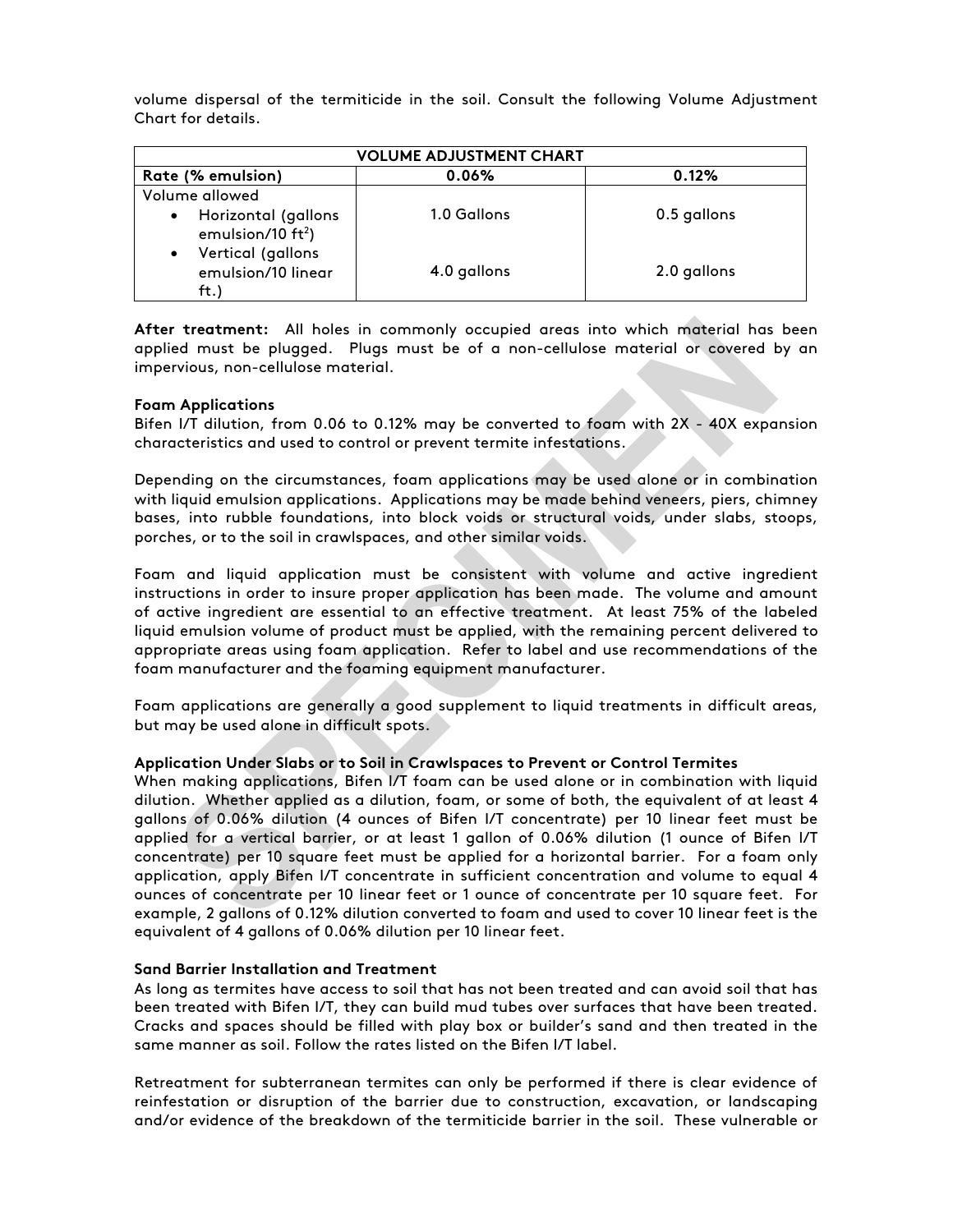volume dispersal of the termiticide in the soil. Consult the following Volume Adjustment Chart for details.

| <b>VOLUME ADJUSTMENT CHART</b>                               |             |             |  |  |  |
|--------------------------------------------------------------|-------------|-------------|--|--|--|
| Rate (% emulsion)                                            | 0.06%       | 0.12%       |  |  |  |
| Volume allowed                                               |             |             |  |  |  |
| Horizontal (gallons<br>$\bullet$<br>emulsion/10 $ft2$ )      | 1.0 Gallons | 0.5 gallons |  |  |  |
| Vertical (gallons<br>$\bullet$<br>emulsion/10 linear<br>ft.) | 4.0 gallons | 2.0 gallons |  |  |  |

**After treatment:** All holes in commonly occupied areas into which material has been applied must be plugged. Plugs must be of a non-cellulose material or covered by an impervious, non-cellulose material.

#### **Foam Applications**

Bifen I/T dilution, from 0.06 to 0.12% may be converted to foam with 2X - 40X expansion characteristics and used to control or prevent termite infestations.

Depending on the circumstances, foam applications may be used alone or in combination with liquid emulsion applications. Applications may be made behind veneers, piers, chimney bases, into rubble foundations, into block voids or structural voids, under slabs, stoops, porches, or to the soil in crawlspaces, and other similar voids.

Foam and liquid application must be consistent with volume and active ingredient instructions in order to insure proper application has been made. The volume and amount of active ingredient are essential to an effective treatment. At least 75% of the labeled liquid emulsion volume of product must be applied, with the remaining percent delivered to appropriate areas using foam application. Refer to label and use recommendations of the foam manufacturer and the foaming equipment manufacturer.

Foam applications are generally a good supplement to liquid treatments in difficult areas, but may be used alone in difficult spots.

#### **Application Under Slabs or to Soil in Crawlspaces to Prevent or Control Termites**

When making applications, Bifen I/T foam can be used alone or in combination with liquid dilution. Whether applied as a dilution, foam, or some of both, the equivalent of at least 4 gallons of 0.06% dilution (4 ounces of Bifen I/T concentrate) per 10 linear feet must be applied for a vertical barrier, or at least 1 gallon of 0.06% dilution (1 ounce of Bifen I/T concentrate) per 10 square feet must be applied for a horizontal barrier. For a foam only application, apply Bifen I/T concentrate in sufficient concentration and volume to equal 4 ounces of concentrate per 10 linear feet or 1 ounce of concentrate per 10 square feet. For example, 2 gallons of 0.12% dilution converted to foam and used to cover 10 linear feet is the equivalent of 4 gallons of 0.06% dilution per 10 linear feet.

#### **Sand Barrier Installation and Treatment**

As long as termites have access to soil that has not been treated and can avoid soil that has been treated with Bifen I/T, they can build mud tubes over surfaces that have been treated. Cracks and spaces should be filled with play box or builder's sand and then treated in the same manner as soil. Follow the rates listed on the Bifen I/T label.

Retreatment for subterranean termites can only be performed if there is clear evidence of reinfestation or disruption of the barrier due to construction, excavation, or landscaping and/or evidence of the breakdown of the termiticide barrier in the soil. These vulnerable or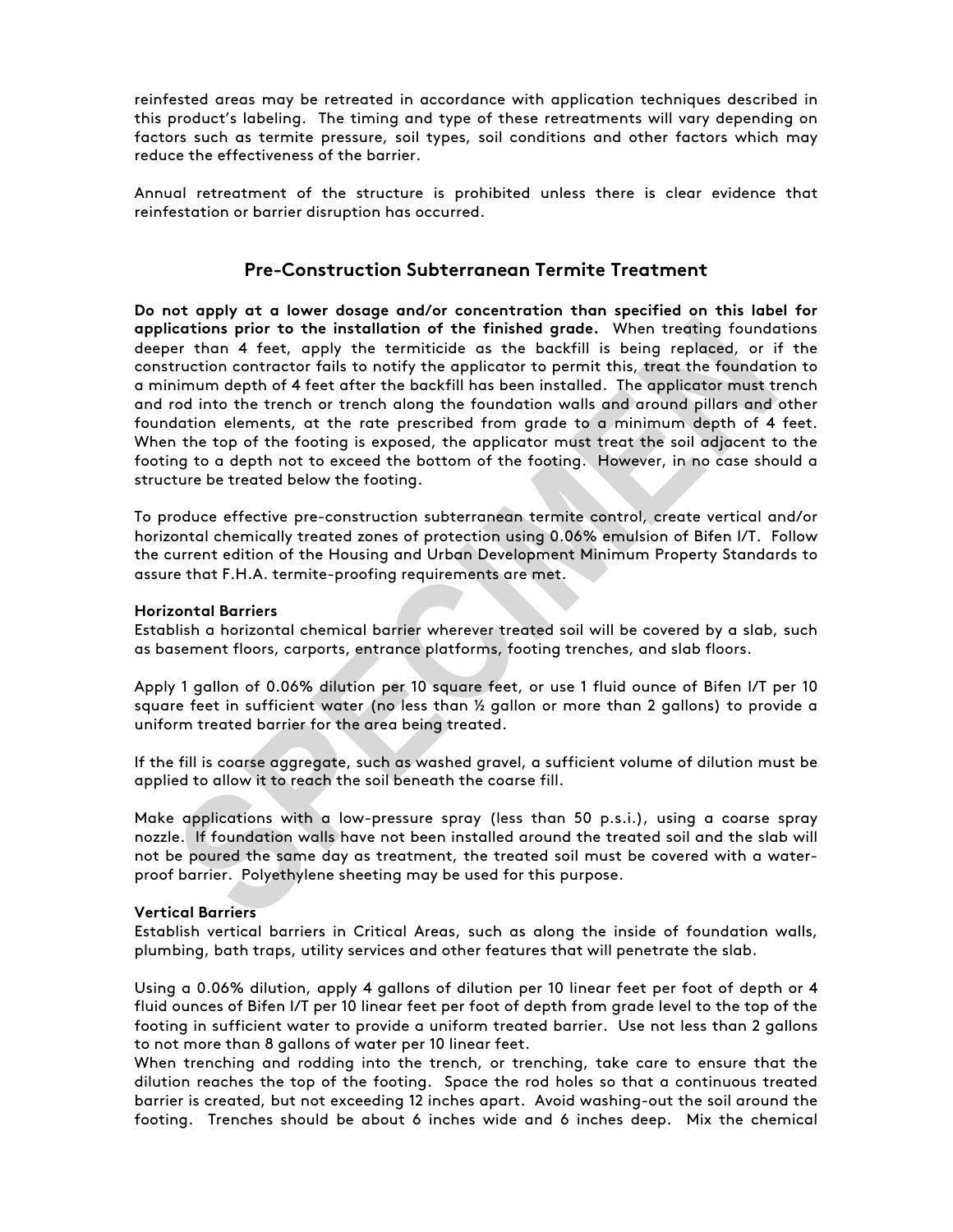reinfested areas may be retreated in accordance with application techniques described in this product's labeling. The timing and type of these retreatments will vary depending on factors such as termite pressure, soil types, soil conditions and other factors which may reduce the effectiveness of the barrier.

Annual retreatment of the structure is prohibited unless there is clear evidence that reinfestation or barrier disruption has occurred.

# **Pre-Construction Subterranean Termite Treatment**

**Do not apply at a lower dosage and/or concentration than specified on this label for applications prior to the installation of the finished grade.** When treating foundations deeper than 4 feet, apply the termiticide as the backfill is being replaced, or if the construction contractor fails to notify the applicator to permit this, treat the foundation to a minimum depth of 4 feet after the backfill has been installed. The applicator must trench and rod into the trench or trench along the foundation walls and around pillars and other foundation elements, at the rate prescribed from grade to a minimum depth of 4 feet. When the top of the footing is exposed, the applicator must treat the soil adjacent to the footing to a depth not to exceed the bottom of the footing. However, in no case should a structure be treated below the footing.

To produce effective pre-construction subterranean termite control, create vertical and/or horizontal chemically treated zones of protection using 0.06% emulsion of Bifen I/T. Follow the current edition of the Housing and Urban Development Minimum Property Standards to assure that F.H.A. termite-proofing requirements are met.

#### **Horizontal Barriers**

Establish a horizontal chemical barrier wherever treated soil will be covered by a slab, such as basement floors, carports, entrance platforms, footing trenches, and slab floors.

Apply 1 gallon of 0.06% dilution per 10 square feet, or use 1 fluid ounce of Bifen I/T per 10 square feet in sufficient water (no less than ½ gallon or more than 2 gallons) to provide a uniform treated barrier for the area being treated.

If the fill is coarse aggregate, such as washed gravel, a sufficient volume of dilution must be applied to allow it to reach the soil beneath the coarse fill.

Make applications with a low-pressure spray (less than 50 p.s.i.), using a coarse spray nozzle. If foundation walls have not been installed around the treated soil and the slab will not be poured the same day as treatment, the treated soil must be covered with a waterproof barrier. Polyethylene sheeting may be used for this purpose.

#### **Vertical Barriers**

Establish vertical barriers in Critical Areas, such as along the inside of foundation walls, plumbing, bath traps, utility services and other features that will penetrate the slab.

Using a 0.06% dilution, apply 4 gallons of dilution per 10 linear feet per foot of depth or 4 fluid ounces of Bifen I/T per 10 linear feet per foot of depth from grade level to the top of the footing in sufficient water to provide a uniform treated barrier. Use not less than 2 gallons to not more than 8 gallons of water per 10 linear feet.

When trenching and rodding into the trench, or trenching, take care to ensure that the dilution reaches the top of the footing. Space the rod holes so that a continuous treated barrier is created, but not exceeding 12 inches apart. Avoid washing-out the soil around the footing. Trenches should be about 6 inches wide and 6 inches deep. Mix the chemical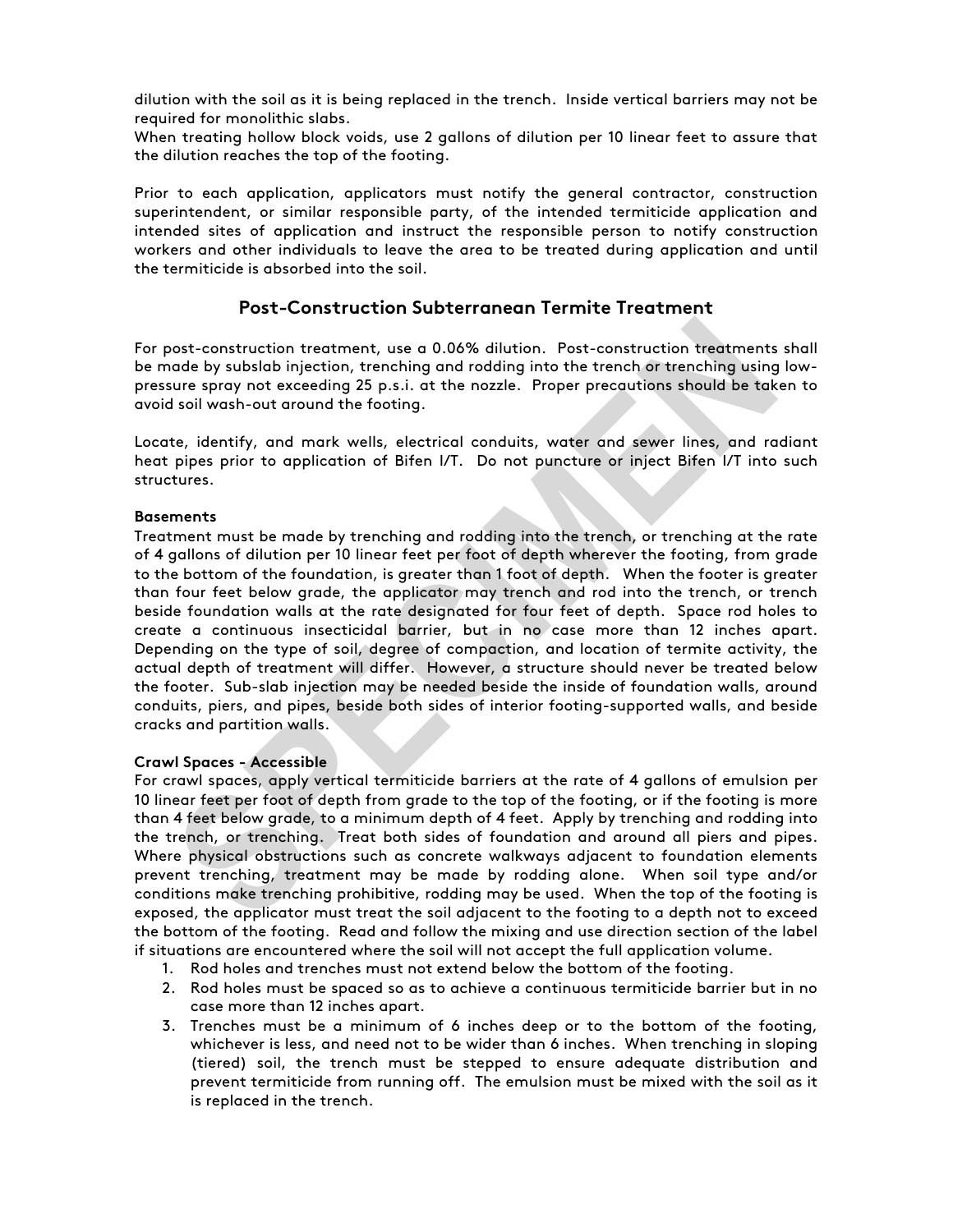dilution with the soil as it is being replaced in the trench. Inside vertical barriers may not be required for monolithic slabs.

When treating hollow block voids, use 2 gallons of dilution per 10 linear feet to assure that the dilution reaches the top of the footing.

Prior to each application, applicators must notify the general contractor, construction superintendent, or similar responsible party, of the intended termiticide application and intended sites of application and instruct the responsible person to notify construction workers and other individuals to leave the area to be treated during application and until the termiticide is absorbed into the soil.

# **Post-Construction Subterranean Termite Treatment**

For post-construction treatment, use a 0.06% dilution. Post-construction treatments shall be made by subslab injection, trenching and rodding into the trench or trenching using lowpressure spray not exceeding 25 p.s.i. at the nozzle. Proper precautions should be taken to avoid soil wash-out around the footing.

Locate, identify, and mark wells, electrical conduits, water and sewer lines, and radiant heat pipes prior to application of Bifen I/T. Do not puncture or inject Bifen I/T into such structures.

#### **Basements**

Treatment must be made by trenching and rodding into the trench, or trenching at the rate of 4 gallons of dilution per 10 linear feet per foot of depth wherever the footing, from grade to the bottom of the foundation, is greater than 1 foot of depth. When the footer is greater than four feet below grade, the applicator may trench and rod into the trench, or trench beside foundation walls at the rate designated for four feet of depth. Space rod holes to create a continuous insecticidal barrier, but in no case more than 12 inches apart. Depending on the type of soil, degree of compaction, and location of termite activity, the actual depth of treatment will differ. However, a structure should never be treated below the footer. Sub-slab injection may be needed beside the inside of foundation walls, around conduits, piers, and pipes, beside both sides of interior footing-supported walls, and beside cracks and partition walls.

#### **Crawl Spaces - Accessible**

For crawl spaces, apply vertical termiticide barriers at the rate of 4 gallons of emulsion per 10 linear feet per foot of depth from grade to the top of the footing, or if the footing is more than 4 feet below grade, to a minimum depth of 4 feet. Apply by trenching and rodding into the trench, or trenching. Treat both sides of foundation and around all piers and pipes. Where physical obstructions such as concrete walkways adjacent to foundation elements prevent trenching, treatment may be made by rodding alone. When soil type and/or conditions make trenching prohibitive, rodding may be used. When the top of the footing is exposed, the applicator must treat the soil adjacent to the footing to a depth not to exceed the bottom of the footing. Read and follow the mixing and use direction section of the label if situations are encountered where the soil will not accept the full application volume.

- 1. Rod holes and trenches must not extend below the bottom of the footing.
- 2. Rod holes must be spaced so as to achieve a continuous termiticide barrier but in no case more than 12 inches apart.
- 3. Trenches must be a minimum of 6 inches deep or to the bottom of the footing, whichever is less, and need not to be wider than 6 inches. When trenching in sloping (tiered) soil, the trench must be stepped to ensure adequate distribution and prevent termiticide from running off. The emulsion must be mixed with the soil as it is replaced in the trench.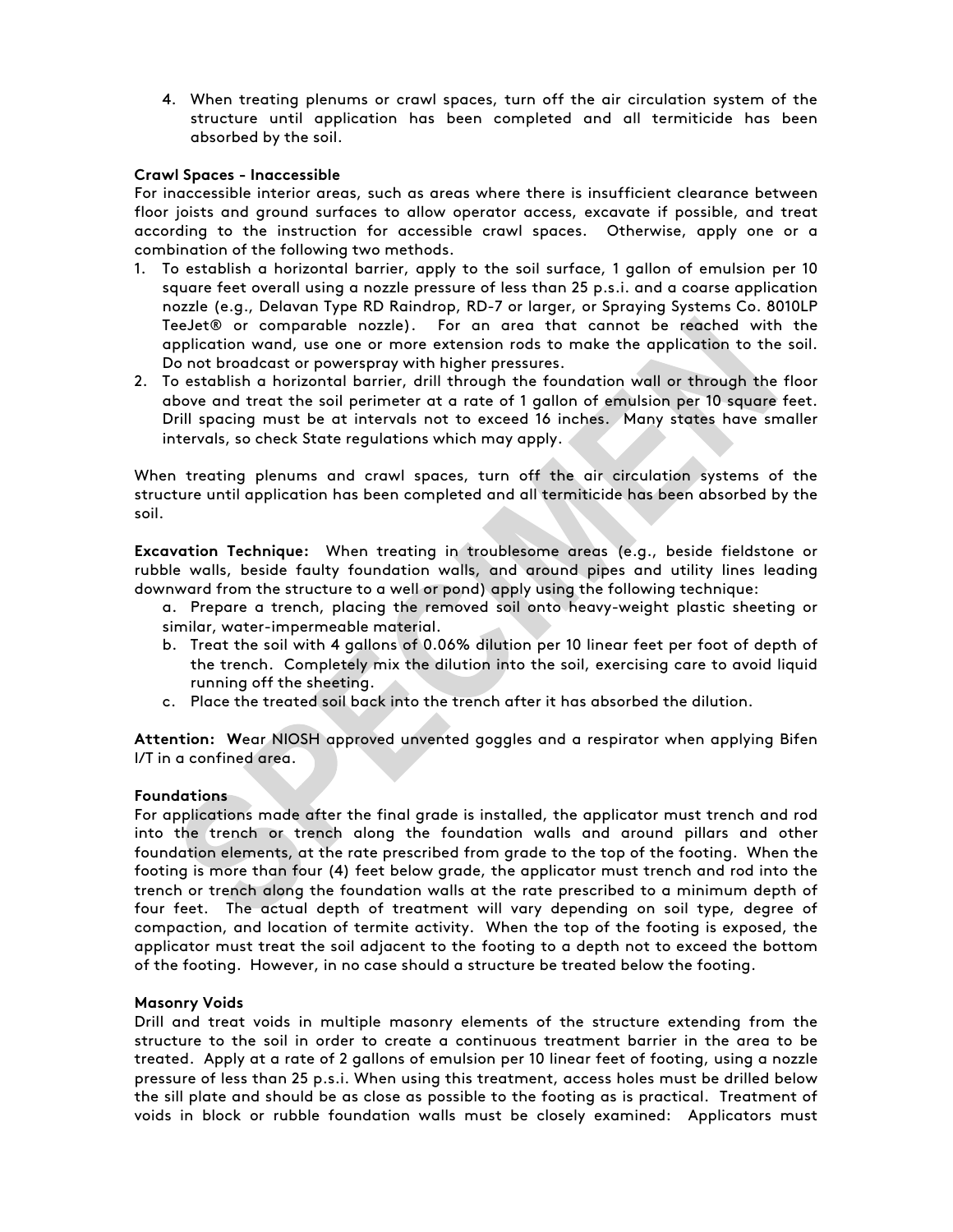4. When treating plenums or crawl spaces, turn off the air circulation system of the structure until application has been completed and all termiticide has been absorbed by the soil.

#### **Crawl Spaces - Inaccessible**

For inaccessible interior areas, such as areas where there is insufficient clearance between floor joists and ground surfaces to allow operator access, excavate if possible, and treat according to the instruction for accessible crawl spaces. Otherwise, apply one or a combination of the following two methods.

- 1. To establish a horizontal barrier, apply to the soil surface, 1 gallon of emulsion per 10 square feet overall using a nozzle pressure of less than 25 p.s.i. and a coarse application nozzle (e.g., Delavan Type RD Raindrop, RD-7 or larger, or Spraying Systems Co. 8010LP TeeJet® or comparable nozzle). For an area that cannot be reached with the application wand, use one or more extension rods to make the application to the soil. Do not broadcast or powerspray with higher pressures.
- 2. To establish a horizontal barrier, drill through the foundation wall or through the floor above and treat the soil perimeter at a rate of 1 gallon of emulsion per 10 square feet. Drill spacing must be at intervals not to exceed 16 inches. Many states have smaller intervals, so check State regulations which may apply.

When treating plenums and crawl spaces, turn off the air circulation systems of the structure until application has been completed and all termiticide has been absorbed by the soil.

**Excavation Technique:** When treating in troublesome areas (e.g., beside fieldstone or rubble walls, beside faulty foundation walls, and around pipes and utility lines leading downward from the structure to a well or pond) apply using the following technique:

- a. Prepare a trench, placing the removed soil onto heavy-weight plastic sheeting or similar, water-impermeable material.
- b. Treat the soil with 4 gallons of 0.06% dilution per 10 linear feet per foot of depth of the trench. Completely mix the dilution into the soil, exercising care to avoid liquid running off the sheeting.
- c. Place the treated soil back into the trench after it has absorbed the dilution.

**Attention: W**ear NIOSH approved unvented goggles and a respirator when applying Bifen I/T in a confined area.

#### **Foundations**

For applications made after the final grade is installed, the applicator must trench and rod into the trench or trench along the foundation walls and around pillars and other foundation elements, at the rate prescribed from grade to the top of the footing. When the footing is more than four (4) feet below grade, the applicator must trench and rod into the trench or trench along the foundation walls at the rate prescribed to a minimum depth of four feet. The actual depth of treatment will vary depending on soil type, degree of compaction, and location of termite activity. When the top of the footing is exposed, the applicator must treat the soil adjacent to the footing to a depth not to exceed the bottom of the footing. However, in no case should a structure be treated below the footing.

#### **Masonry Voids**

Drill and treat voids in multiple masonry elements of the structure extending from the structure to the soil in order to create a continuous treatment barrier in the area to be treated. Apply at a rate of 2 gallons of emulsion per 10 linear feet of footing, using a nozzle pressure of less than 25 p.s.i. When using this treatment, access holes must be drilled below the sill plate and should be as close as possible to the footing as is practical. Treatment of voids in block or rubble foundation walls must be closely examined: Applicators must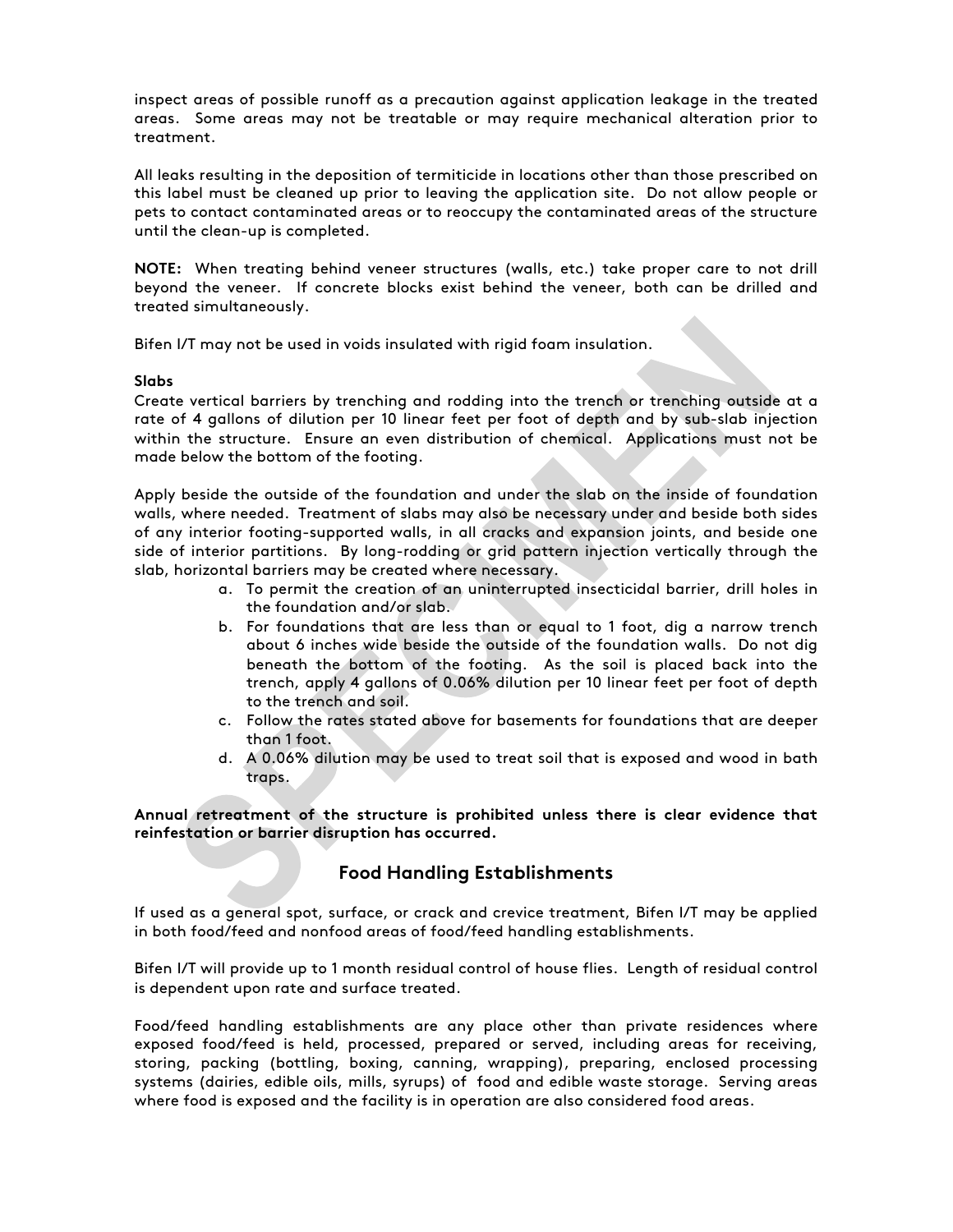inspect areas of possible runoff as a precaution against application leakage in the treated areas. Some areas may not be treatable or may require mechanical alteration prior to treatment.

All leaks resulting in the deposition of termiticide in locations other than those prescribed on this label must be cleaned up prior to leaving the application site. Do not allow people or pets to contact contaminated areas or to reoccupy the contaminated areas of the structure until the clean-up is completed.

**NOTE:** When treating behind veneer structures (walls, etc.) take proper care to not drill beyond the veneer. If concrete blocks exist behind the veneer, both can be drilled and treated simultaneously.

Bifen I/T may not be used in voids insulated with rigid foam insulation.

#### **Slabs**

Create vertical barriers by trenching and rodding into the trench or trenching outside at a rate of 4 gallons of dilution per 10 linear feet per foot of depth and by sub-slab injection within the structure. Ensure an even distribution of chemical. Applications must not be made below the bottom of the footing.

Apply beside the outside of the foundation and under the slab on the inside of foundation walls, where needed. Treatment of slabs may also be necessary under and beside both sides of any interior footing-supported walls, in all cracks and expansion joints, and beside one side of interior partitions. By long-rodding or grid pattern injection vertically through the slab, horizontal barriers may be created where necessary.

- a. To permit the creation of an uninterrupted insecticidal barrier, drill holes in the foundation and/or slab.
- b. For foundations that are less than or equal to 1 foot, dig a narrow trench about 6 inches wide beside the outside of the foundation walls. Do not dig beneath the bottom of the footing. As the soil is placed back into the trench, apply 4 gallons of 0.06% dilution per 10 linear feet per foot of depth to the trench and soil.
- c. Follow the rates stated above for basements for foundations that are deeper than 1 foot.
- d. A 0.06% dilution may be used to treat soil that is exposed and wood in bath traps.

**Annual retreatment of the structure is prohibited unless there is clear evidence that reinfestation or barrier disruption has occurred.**

# **Food Handling Establishments**

If used as a general spot, surface, or crack and crevice treatment, Bifen I/T may be applied in both food/feed and nonfood areas of food/feed handling establishments.

Bifen I/T will provide up to 1 month residual control of house flies. Length of residual control is dependent upon rate and surface treated.

Food/feed handling establishments are any place other than private residences where exposed food/feed is held, processed, prepared or served, including areas for receiving, storing, packing (bottling, boxing, canning, wrapping), preparing, enclosed processing systems (dairies, edible oils, mills, syrups) of food and edible waste storage. Serving areas where food is exposed and the facility is in operation are also considered food areas.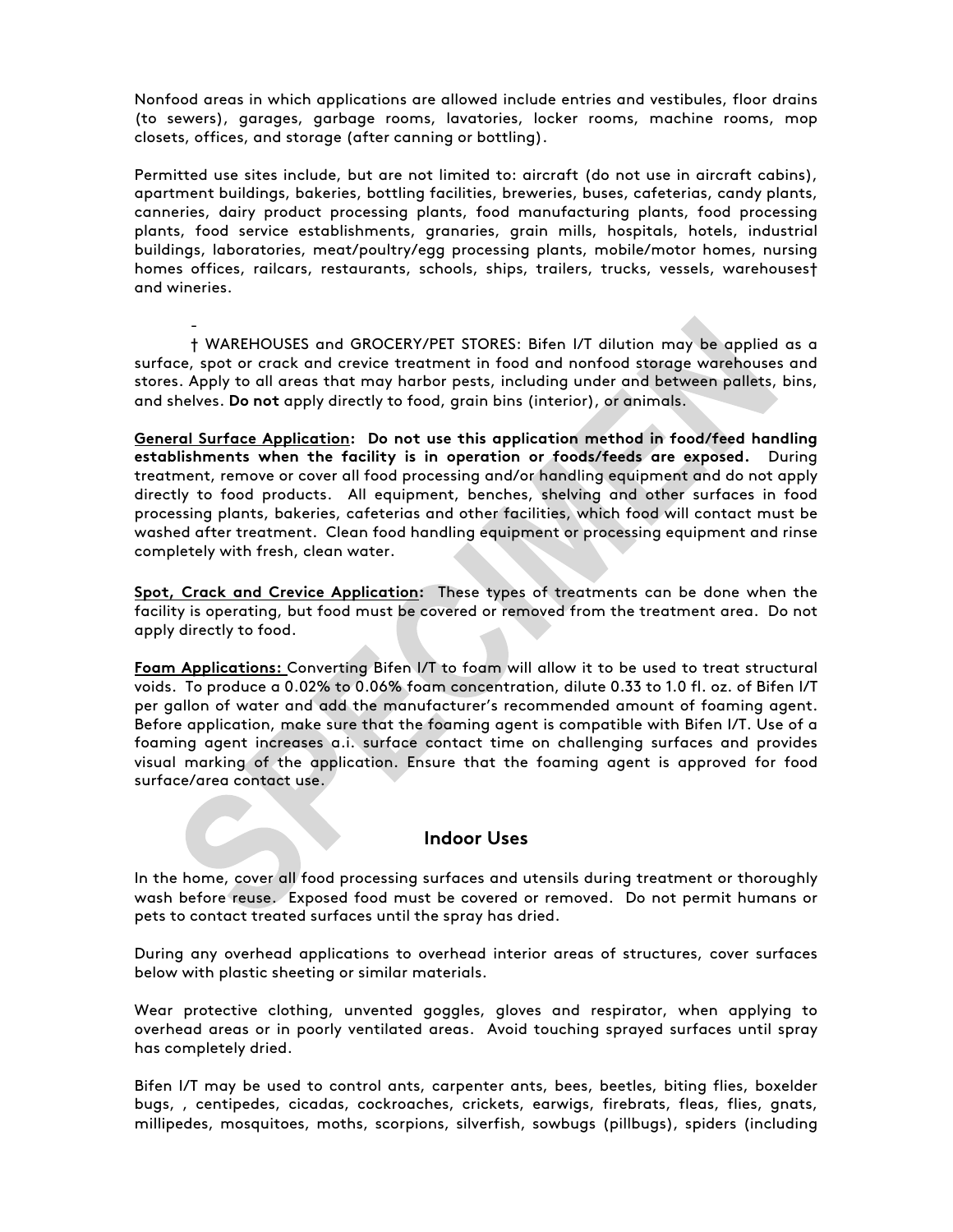Nonfood areas in which applications are allowed include entries and vestibules, floor drains (to sewers), garages, garbage rooms, lavatories, locker rooms, machine rooms, mop closets, offices, and storage (after canning or bottling).

Permitted use sites include, but are not limited to: aircraft (do not use in aircraft cabins), apartment buildings, bakeries, bottling facilities, breweries, buses, cafeterias, candy plants, canneries, dairy product processing plants, food manufacturing plants, food processing plants, food service establishments, granaries, grain mills, hospitals, hotels, industrial buildings, laboratories, meat/poultry/egg processing plants, mobile/motor homes, nursing homes offices, railcars, restaurants, schools, ships, trailers, trucks, vessels, warehouses† and wineries.

† WAREHOUSES and GROCERY/PET STORES: Bifen I/T dilution may be applied as a surface, spot or crack and crevice treatment in food and nonfood storage warehouses and stores. Apply to all areas that may harbor pests, including under and between pallets, bins, and shelves. **Do not** apply directly to food, grain bins (interior), or animals.

-

**General Surface Application: Do not use this application method in food/feed handling establishments when the facility is in operation or foods/feeds are exposed.** During treatment, remove or cover all food processing and/or handling equipment and do not apply directly to food products. All equipment, benches, shelving and other surfaces in food processing plants, bakeries, cafeterias and other facilities, which food will contact must be washed after treatment. Clean food handling equipment or processing equipment and rinse completely with fresh, clean water.

**Spot, Crack and Crevice Application:** These types of treatments can be done when the facility is operating, but food must be covered or removed from the treatment area. Do not apply directly to food.

**Foam Applications:** Converting Bifen I/T to foam will allow it to be used to treat structural voids. To produce a 0.02% to 0.06% foam concentration, dilute 0.33 to 1.0 fl. oz. of Bifen I/T per gallon of water and add the manufacturer's recommended amount of foaming agent. Before application, make sure that the foaming agent is compatible with Bifen I/T. Use of a foaming agent increases a.i. surface contact time on challenging surfaces and provides visual marking of the application. Ensure that the foaming agent is approved for food surface/area contact use.

# **Indoor Uses**

In the home, cover all food processing surfaces and utensils during treatment or thoroughly wash before reuse. Exposed food must be covered or removed. Do not permit humans or pets to contact treated surfaces until the spray has dried.

During any overhead applications to overhead interior areas of structures, cover surfaces below with plastic sheeting or similar materials.

Wear protective clothing, unvented goggles, gloves and respirator, when applying to overhead areas or in poorly ventilated areas. Avoid touching sprayed surfaces until spray has completely dried.

Bifen I/T may be used to control ants, carpenter ants, bees, beetles, biting flies, boxelder bugs, , centipedes, cicadas, cockroaches, crickets, earwigs, firebrats, fleas, flies, gnats, millipedes, mosquitoes, moths, scorpions, silverfish, sowbugs (pillbugs), spiders (including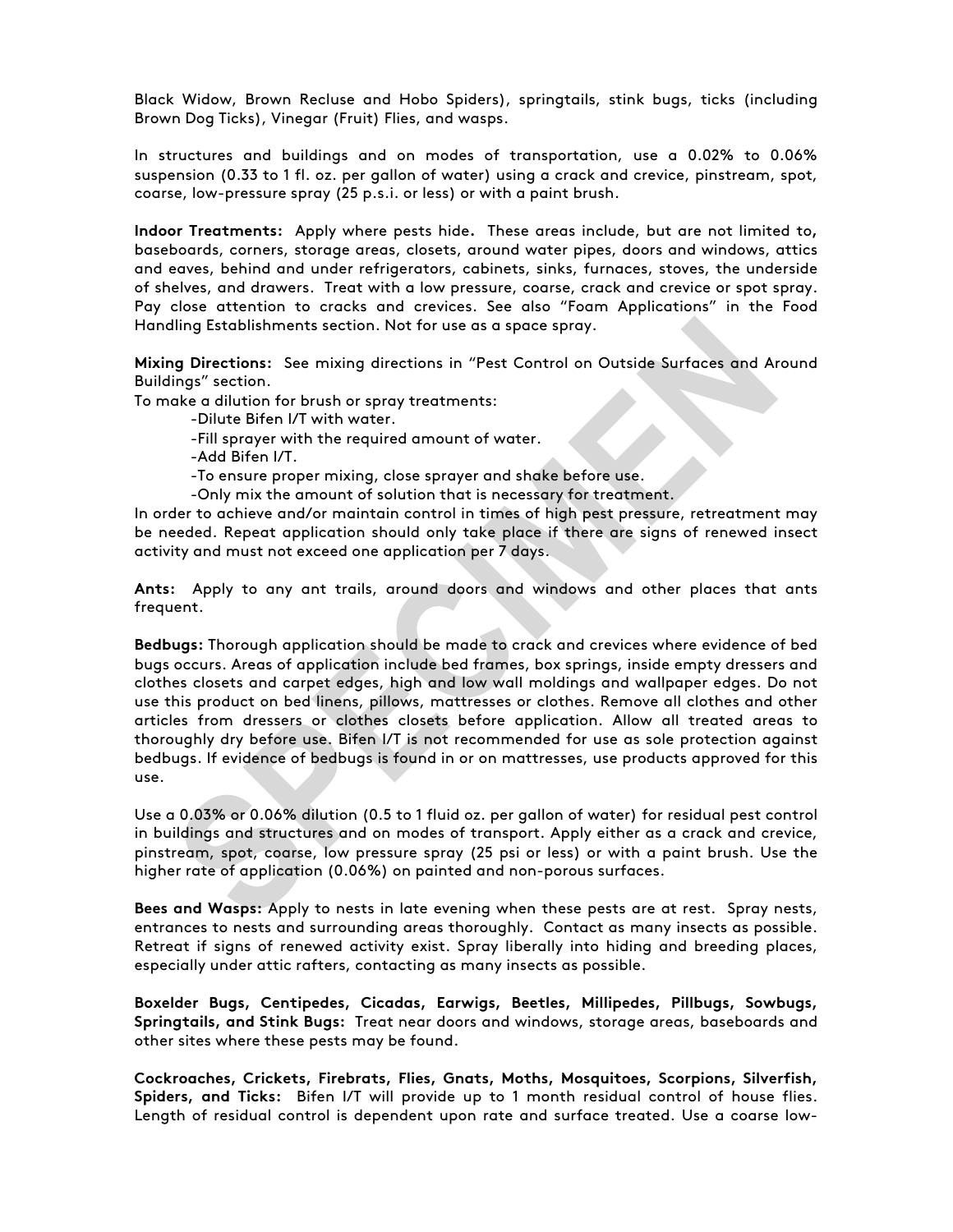Black Widow, Brown Recluse and Hobo Spiders), springtails, stink bugs, ticks (including Brown Dog Ticks), Vinegar (Fruit) Flies, and wasps.

In structures and buildings and on modes of transportation, use a 0.02% to 0.06% suspension (0.33 to 1 fl. oz. per gallon of water) using a crack and crevice, pinstream, spot, coarse, low-pressure spray (25 p.s.i. or less) or with a paint brush.

**Indoor Treatments:** Apply where pests hide**.** These areas include, but are not limited to**,**  baseboards, corners, storage areas, closets, around water pipes, doors and windows, attics and eaves, behind and under refrigerators, cabinets, sinks, furnaces, stoves, the underside of shelves, and drawers. Treat with a low pressure, coarse, crack and crevice or spot spray. Pay close attention to cracks and crevices. See also "Foam Applications" in the Food Handling Establishments section. Not for use as a space spray.

**Mixing Directions:** See mixing directions in "Pest Control on Outside Surfaces and Around Buildings" section.

To make a dilution for brush or spray treatments:

-Dilute Bifen I/T with water.

-Fill sprayer with the required amount of water.

-Add Bifen I/T.

-To ensure proper mixing, close sprayer and shake before use.

-Only mix the amount of solution that is necessary for treatment.

In order to achieve and/or maintain control in times of high pest pressure, retreatment may be needed. Repeat application should only take place if there are signs of renewed insect activity and must not exceed one application per 7 days.

**Ants:** Apply to any ant trails, around doors and windows and other places that ants frequent.

**Bedbugs:** Thorough application should be made to crack and crevices where evidence of bed bugs occurs. Areas of application include bed frames, box springs, inside empty dressers and clothes closets and carpet edges, high and low wall moldings and wallpaper edges. Do not use this product on bed linens, pillows, mattresses or clothes. Remove all clothes and other articles from dressers or clothes closets before application. Allow all treated areas to thoroughly dry before use. Bifen I/T is not recommended for use as sole protection against bedbugs. If evidence of bedbugs is found in or on mattresses, use products approved for this use.

Use a 0.03% or 0.06% dilution (0.5 to 1 fluid oz. per gallon of water) for residual pest control in buildings and structures and on modes of transport. Apply either as a crack and crevice, pinstream, spot, coarse, low pressure spray (25 psi or less) or with a paint brush. Use the higher rate of application (0.06%) on painted and non-porous surfaces.

**Bees and Wasps:** Apply to nests in late evening when these pests are at rest. Spray nests, entrances to nests and surrounding areas thoroughly. Contact as many insects as possible. Retreat if signs of renewed activity exist. Spray liberally into hiding and breeding places, especially under attic rafters, contacting as many insects as possible.

**Boxelder Bugs, Centipedes, Cicadas, Earwigs, Beetles, Millipedes, Pillbugs, Sowbugs, Springtails, and Stink Bugs:** Treat near doors and windows, storage areas, baseboards and other sites where these pests may be found.

**Cockroaches, Crickets, Firebrats, Flies, Gnats, Moths, Mosquitoes, Scorpions, Silverfish, Spiders, and Ticks:** Bifen I/T will provide up to 1 month residual control of house flies. Length of residual control is dependent upon rate and surface treated. Use a coarse low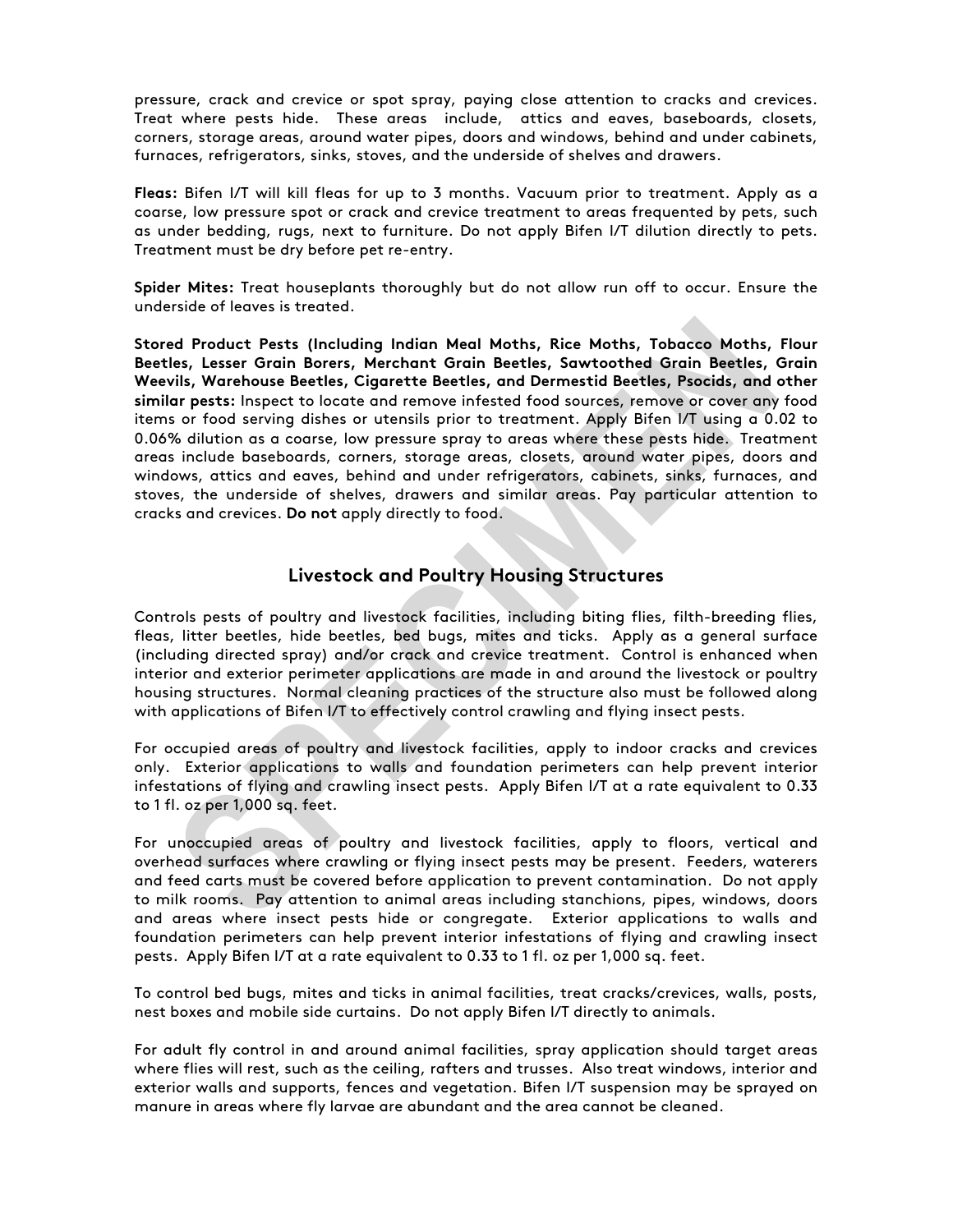pressure, crack and crevice or spot spray, paying close attention to cracks and crevices. Treat where pests hide. These areas include, attics and eaves, baseboards, closets, corners, storage areas, around water pipes, doors and windows, behind and under cabinets, furnaces, refrigerators, sinks, stoves, and the underside of shelves and drawers.

**Fleas:** Bifen I/T will kill fleas for up to 3 months. Vacuum prior to treatment. Apply as a coarse, low pressure spot or crack and crevice treatment to areas frequented by pets, such as under bedding, rugs, next to furniture. Do not apply Bifen I/T dilution directly to pets. Treatment must be dry before pet re-entry.

**Spider Mites:** Treat houseplants thoroughly but do not allow run off to occur. Ensure the underside of leaves is treated.

**Stored Product Pests (Including Indian Meal Moths, Rice Moths, Tobacco Moths, Flour Beetles, Lesser Grain Borers, Merchant Grain Beetles, Sawtoothed Grain Beetles, Grain Weevils, Warehouse Beetles, Cigarette Beetles, and Dermestid Beetles, Psocids, and other similar pests:** Inspect to locate and remove infested food sources, remove or cover any food items or food serving dishes or utensils prior to treatment. Apply Bifen I/T using a 0.02 to 0.06% dilution as a coarse, low pressure spray to areas where these pests hide. Treatment areas include baseboards, corners, storage areas, closets, around water pipes, doors and windows, attics and eaves, behind and under refrigerators, cabinets, sinks, furnaces, and stoves, the underside of shelves, drawers and similar areas. Pay particular attention to cracks and crevices. **Do not** apply directly to food.

# **Livestock and Poultry Housing Structures**

Controls pests of poultry and livestock facilities, including biting flies, filth-breeding flies, fleas, litter beetles, hide beetles, bed bugs, mites and ticks. Apply as a general surface (including directed spray) and/or crack and crevice treatment. Control is enhanced when interior and exterior perimeter applications are made in and around the livestock or poultry housing structures. Normal cleaning practices of the structure also must be followed along with applications of Bifen I/T to effectively control crawling and flying insect pests.

For occupied areas of poultry and livestock facilities, apply to indoor cracks and crevices only. Exterior applications to walls and foundation perimeters can help prevent interior infestations of flying and crawling insect pests. Apply Bifen I/T at a rate equivalent to 0.33 to 1 fl. oz per 1,000 sq. feet.

For unoccupied areas of poultry and livestock facilities, apply to floors, vertical and overhead surfaces where crawling or flying insect pests may be present. Feeders, waterers and feed carts must be covered before application to prevent contamination. Do not apply to milk rooms. Pay attention to animal areas including stanchions, pipes, windows, doors and areas where insect pests hide or congregate. Exterior applications to walls and foundation perimeters can help prevent interior infestations of flying and crawling insect pests. Apply Bifen I/T at a rate equivalent to 0.33 to 1 fl. oz per 1,000 sq. feet.

To control bed bugs, mites and ticks in animal facilities, treat cracks/crevices, walls, posts, nest boxes and mobile side curtains. Do not apply Bifen I/T directly to animals.

For adult fly control in and around animal facilities, spray application should target areas where flies will rest, such as the ceiling, rafters and trusses. Also treat windows, interior and exterior walls and supports, fences and vegetation. Bifen I/T suspension may be sprayed on manure in areas where fly larvae are abundant and the area cannot be cleaned.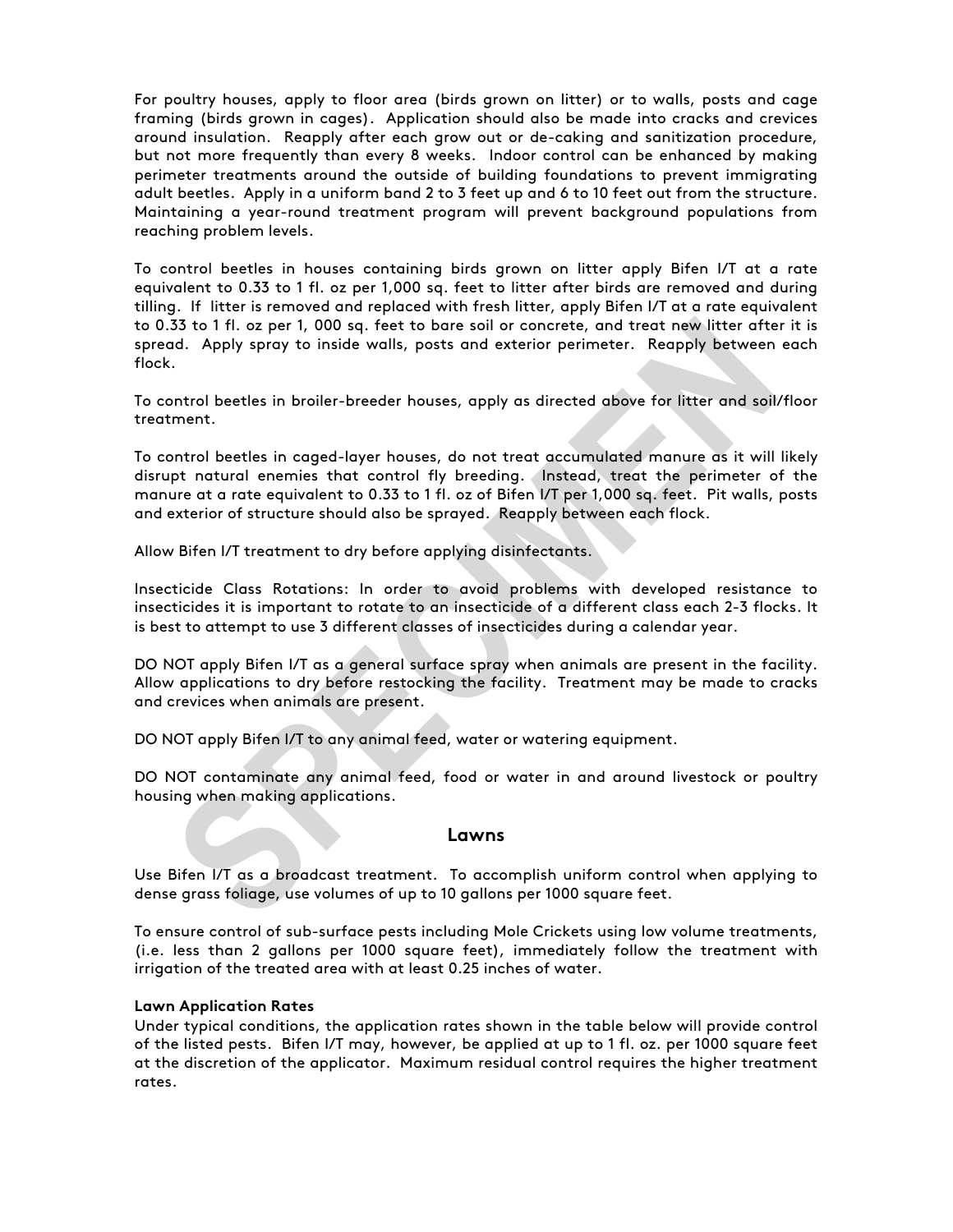For poultry houses, apply to floor area (birds grown on litter) or to walls, posts and cage framing (birds grown in cages). Application should also be made into cracks and crevices around insulation. Reapply after each grow out or de-caking and sanitization procedure, but not more frequently than every 8 weeks. Indoor control can be enhanced by making perimeter treatments around the outside of building foundations to prevent immigrating adult beetles. Apply in a uniform band 2 to 3 feet up and 6 to 10 feet out from the structure. Maintaining a year-round treatment program will prevent background populations from reaching problem levels.

To control beetles in houses containing birds grown on litter apply Bifen I/T at a rate equivalent to 0.33 to 1 fl. oz per 1,000 sq. feet to litter after birds are removed and during tilling. If litter is removed and replaced with fresh litter, apply Bifen I/T at a rate equivalent to 0.33 to 1 fl. oz per 1, 000 sq. feet to bare soil or concrete, and treat new litter after it is spread. Apply spray to inside walls, posts and exterior perimeter. Reapply between each flock.

To control beetles in broiler-breeder houses, apply as directed above for litter and soil/floor treatment.

To control beetles in caged-layer houses, do not treat accumulated manure as it will likely disrupt natural enemies that control fly breeding. Instead, treat the perimeter of the manure at a rate equivalent to 0.33 to 1 fl. oz of Bifen I/T per 1,000 sq. feet. Pit walls, posts and exterior of structure should also be sprayed. Reapply between each flock.

Allow Bifen I/T treatment to dry before applying disinfectants.

Insecticide Class Rotations: In order to avoid problems with developed resistance to insecticides it is important to rotate to an insecticide of a different class each 2-3 flocks. It is best to attempt to use 3 different classes of insecticides during a calendar year.

DO NOT apply Bifen I/T as a general surface spray when animals are present in the facility. Allow applications to dry before restocking the facility. Treatment may be made to cracks and crevices when animals are present.

DO NOT apply Bifen I/T to any animal feed, water or watering equipment.

DO NOT contaminate any animal feed, food or water in and around livestock or poultry housing when making applications.

#### **Lawns**

Use Bifen I/T as a broadcast treatment. To accomplish uniform control when applying to dense grass foliage, use volumes of up to 10 gallons per 1000 square feet.

To ensure control of sub-surface pests including Mole Crickets using low volume treatments, (i.e. less than 2 gallons per 1000 square feet), immediately follow the treatment with irrigation of the treated area with at least 0.25 inches of water.

#### **Lawn Application Rates**

Under typical conditions, the application rates shown in the table below will provide control of the listed pests. Bifen I/T may, however, be applied at up to 1 fl. oz. per 1000 square feet at the discretion of the applicator. Maximum residual control requires the higher treatment rates.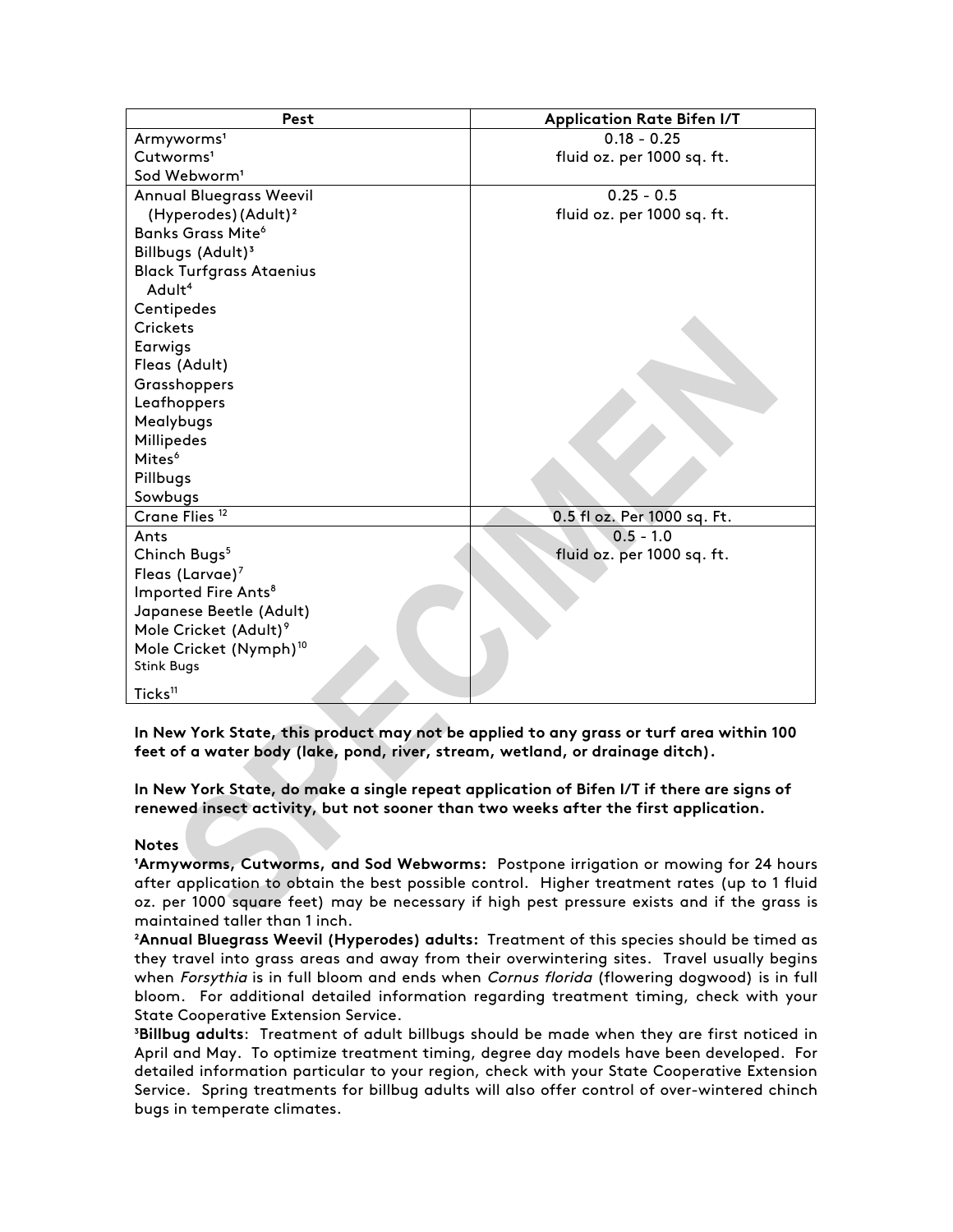| Pest                                | <b>Application Rate Bifen I/T</b> |
|-------------------------------------|-----------------------------------|
| Armyworms <sup>1</sup>              | $0.18 - 0.25$                     |
| Cutworms <sup>1</sup>               | fluid oz. per 1000 sq. ft.        |
| Sod Webworm <sup>1</sup>            |                                   |
| <b>Annual Bluegrass Weevil</b>      | $0.25 - 0.5$                      |
| (Hyperodes) (Adult) <sup>2</sup>    | fluid oz. per 1000 sq. ft.        |
| <b>Banks Grass Mite<sup>6</sup></b> |                                   |
| Billbugs (Adult) <sup>3</sup>       |                                   |
| <b>Black Turfgrass Ataenius</b>     |                                   |
| Adult <sup>4</sup>                  |                                   |
| Centipedes                          |                                   |
| <b>Crickets</b>                     |                                   |
| Earwigs                             |                                   |
| Fleas (Adult)                       |                                   |
| Grasshoppers                        |                                   |
| Leafhoppers                         |                                   |
| Mealybugs                           |                                   |
| Millipedes                          |                                   |
| Mites <sup>6</sup>                  |                                   |
| Pillbugs                            |                                   |
| Sowbugs                             |                                   |
| Crane Flies <sup>12</sup>           | 0.5 fl oz. Per 1000 sq. Ft.       |
| Ants                                | $0.5 - 1.0$                       |
| Chinch Bugs <sup>5</sup>            | fluid oz. per 1000 sq. ft.        |
| Fleas (Larvae) <sup>7</sup>         |                                   |
| Imported Fire Ants <sup>8</sup>     |                                   |
| Japanese Beetle (Adult)             |                                   |
| Mole Cricket (Adult) <sup>9</sup>   |                                   |
| Mole Cricket (Nymph) <sup>10</sup>  |                                   |
| <b>Stink Bugs</b>                   |                                   |
| Ticks <sup>11</sup>                 |                                   |

**In New York State, this product may not be applied to any grass or turf area within 100 feet of a water body (lake, pond, river, stream, wetland, or drainage ditch).**

**In New York State, do make a single repeat application of Bifen I/T if there are signs of renewed insect activity, but not sooner than two weeks after the first application.**

#### **Notes**

**IArmyworms, Cutworms, and Sod Webworms: Postpone irrigation or mowing for 24 hours** after application to obtain the best possible control. Higher treatment rates (up to 1 fluid oz. per 1000 square feet) may be necessary if high pest pressure exists and if the grass is maintained taller than 1 inch.

²**Annual Bluegrass Weevil (Hyperodes) adults:** Treatment of this species should be timed as they travel into grass areas and away from their overwintering sites. Travel usually begins when Forsythia is in full bloom and ends when Cornus florida (flowering dogwood) is in full bloom. For additional detailed information regarding treatment timing, check with your State Cooperative Extension Service.

³**Billbug adults**: Treatment of adult billbugs should be made when they are first noticed in April and May. To optimize treatment timing, degree day models have been developed. For detailed information particular to your region, check with your State Cooperative Extension Service. Spring treatments for billbug adults will also offer control of over-wintered chinch bugs in temperate climates.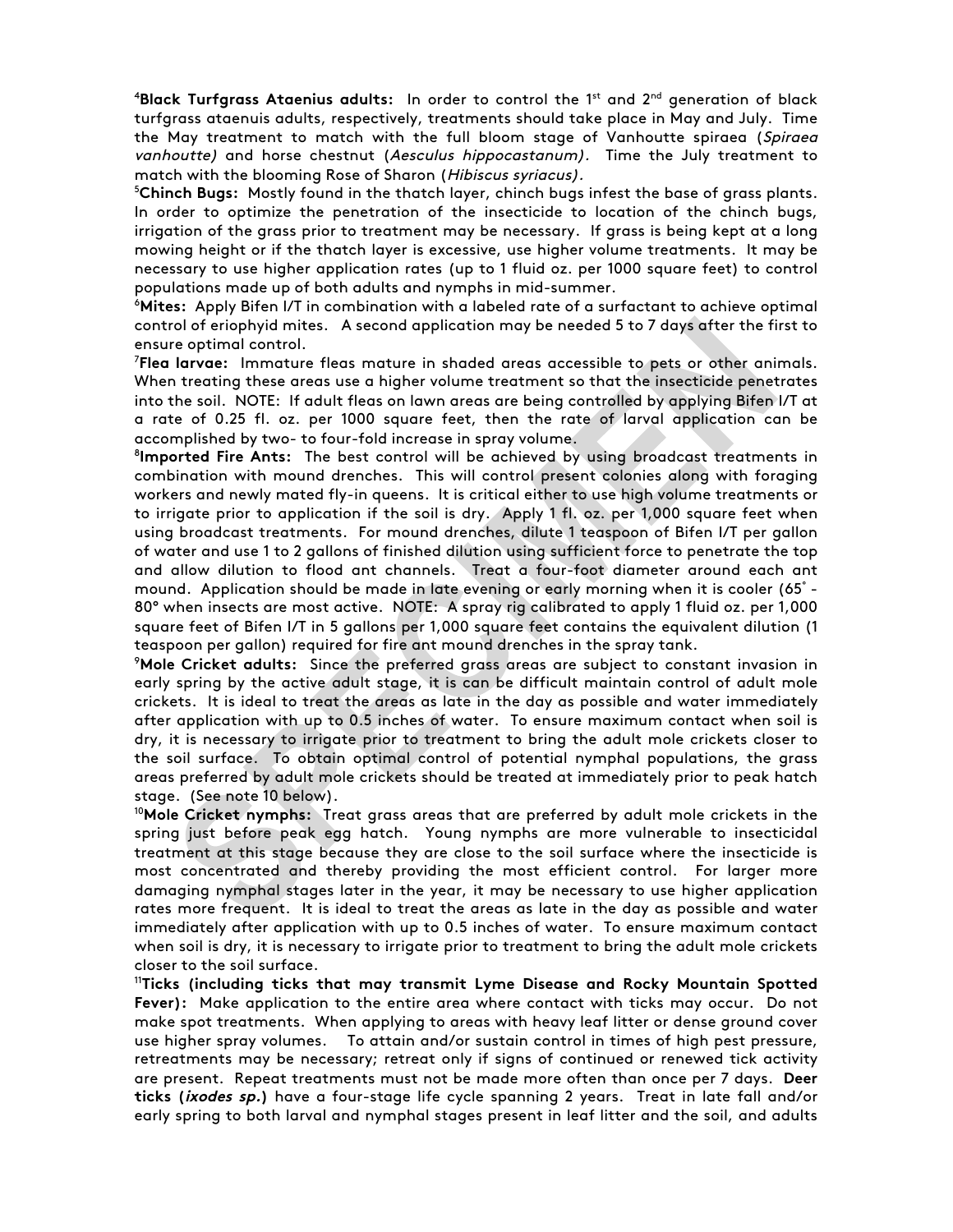4 **Black Turfgrass Ataenius adults:** In order to control the 1st and 2nd generation of black turfgrass ataenuis adults, respectively, treatments should take place in May and July. Time the May treatment to match with the full bloom stage of Vanhoutte spiraea (Spiraea vanhoutte) and horse chestnut (Aesculus hippocastanum). Time the July treatment to match with the blooming Rose of Sharon (Hibiscus syriacus).

5 **Chinch Bugs:** Mostly found in the thatch layer, chinch bugs infest the base of grass plants. In order to optimize the penetration of the insecticide to location of the chinch bugs, irrigation of the grass prior to treatment may be necessary. If grass is being kept at a long mowing height or if the thatch layer is excessive, use higher volume treatments. It may be necessary to use higher application rates (up to 1 fluid oz. per 1000 square feet) to control populations made up of both adults and nymphs in mid-summer.

6 **Mites:** Apply Bifen I/T in combination with a labeled rate of a surfactant to achieve optimal control of eriophyid mites. A second application may be needed 5 to 7 days after the first to ensure optimal control.

7 **Flea larvae:** Immature fleas mature in shaded areas accessible to pets or other animals. When treating these areas use a higher volume treatment so that the insecticide penetrates into the soil. NOTE: If adult fleas on lawn areas are being controlled by applying Bifen I/T at a rate of 0.25 fl. oz. per 1000 square feet, then the rate of larval application can be accomplished by two- to four-fold increase in spray volume. 8

**Imported Fire Ants:** The best control will be achieved by using broadcast treatments in combination with mound drenches. This will control present colonies along with foraging workers and newly mated fly-in queens. It is critical either to use high volume treatments or to irrigate prior to application if the soil is dry. Apply 1 fl. oz. per 1,000 square feet when using broadcast treatments. For mound drenches, dilute 1 teaspoon of Bifen I/T per gallon of water and use 1 to 2 gallons of finished dilution using sufficient force to penetrate the top and allow dilution to flood ant channels. Treat a four-foot diameter around each ant mound. Application should be made in late evening or early morning when it is cooler (65° - 80° when insects are most active. NOTE: A spray rig calibrated to apply 1 fluid oz. per 1,000 square feet of Bifen I/T in 5 gallons per 1,000 square feet contains the equivalent dilution (1 teaspoon per gallon) required for fire ant mound drenches in the spray tank.

9 **Mole Cricket adults:** Since the preferred grass areas are subject to constant invasion in early spring by the active adult stage, it is can be difficult maintain control of adult mole crickets. It is ideal to treat the areas as late in the day as possible and water immediately after application with up to 0.5 inches of water. To ensure maximum contact when soil is dry, it is necessary to irrigate prior to treatment to bring the adult mole crickets closer to the soil surface. To obtain optimal control of potential nymphal populations, the grass areas preferred by adult mole crickets should be treated at immediately prior to peak hatch stage. (See note 10 below).

<sup>10</sup>**Mole Cricket nymphs:** Treat grass areas that are preferred by adult mole crickets in the spring just before peak egg hatch. Young nymphs are more vulnerable to insecticidal treatment at this stage because they are close to the soil surface where the insecticide is most concentrated and thereby providing the most efficient control. For larger more damaging nymphal stages later in the year, it may be necessary to use higher application rates more frequent. It is ideal to treat the areas as late in the day as possible and water immediately after application with up to 0.5 inches of water. To ensure maximum contact when soil is dry, it is necessary to irrigate prior to treatment to bring the adult mole crickets closer to the soil surface.

<sup>11</sup>**Ticks (including ticks that may transmit Lyme Disease and Rocky Mountain Spotted Fever):** Make application to the entire area where contact with ticks may occur. Do not make spot treatments. When applying to areas with heavy leaf litter or dense ground cover use higher spray volumes. To attain and/or sustain control in times of high pest pressure, retreatments may be necessary; retreat only if signs of continued or renewed tick activity are present. Repeat treatments must not be made more often than once per 7 days. **Deer ticks (ixodes sp.)** have a four-stage life cycle spanning 2 years. Treat in late fall and/or early spring to both larval and nymphal stages present in leaf litter and the soil, and adults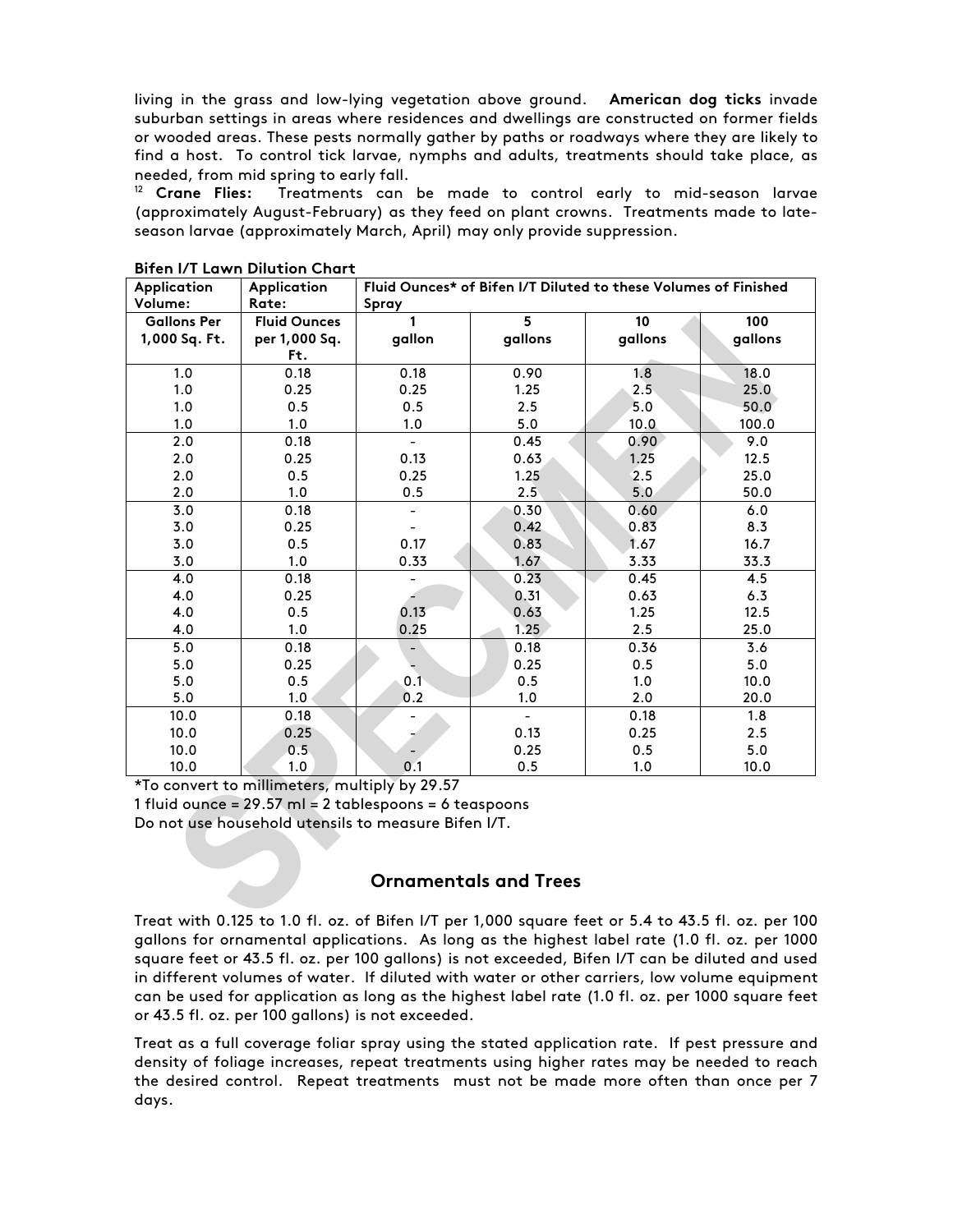living in the grass and low-lying vegetation above ground. **American dog ticks** invade suburban settings in areas where residences and dwellings are constructed on former fields or wooded areas. These pests normally gather by paths or roadways where they are likely to find a host. To control tick larvae, nymphs and adults, treatments should take place, as needed, from mid spring to early fall.

<sup>12</sup> **Crane Flies:** Treatments can be made to control early to mid-season larvae (approximately August-February) as they feed on plant crowns. Treatments made to lateseason larvae (approximately March, April) may only provide suppression.

| Application        | Application         | Fluid Ounces* of Bifen I/T Diluted to these Volumes of Finished |                |         |         |  |
|--------------------|---------------------|-----------------------------------------------------------------|----------------|---------|---------|--|
| Volume:            | Rate:               | Spray                                                           |                |         |         |  |
| <b>Gallons Per</b> | <b>Fluid Ounces</b> |                                                                 | 5              | 10      | 100     |  |
| 1,000 Sq. Ft.      | per 1,000 Sq.       | gallon                                                          | gallons        | gallons | gallons |  |
|                    | Ft.                 |                                                                 |                |         |         |  |
| 1.0                | 0.18                | 0.18                                                            | 0.90           | 1.8     | 18.0    |  |
| 1.0                | 0.25                | 0.25                                                            | 1.25           | 2.5     | 25.0    |  |
| 1.0                | 0.5                 | 0.5                                                             | 2.5            | 5.0     | 50.0    |  |
| 1.0                | 1.0                 | 1.0                                                             | 5.0            | 10.0    | 100.0   |  |
| 2.0                | 0.18                |                                                                 | 0.45           | 0.90    | 9.0     |  |
| 2.0                | 0.25                | 0.13                                                            | 0.63           | 1.25    | 12.5    |  |
| 2.0                | 0.5                 | 0.25                                                            | 1.25           | 2.5     | 25.0    |  |
| 2.0                | 1.0                 | 0.5                                                             | 2.5            | 5.0     | 50.0    |  |
| 3.0                | 0.18                |                                                                 | 0.30           | 0.60    | 6.0     |  |
| 3.0                | 0.25                |                                                                 | 0.42           | 0.83    | 8.3     |  |
| 3.0                | 0.5                 | 0.17                                                            | 0.83           | 1.67    | 16.7    |  |
| 3.0                | 1.0                 | 0.33                                                            | 1.67           | 3.33    | 33.3    |  |
| 4.0                | 0.18                |                                                                 | 0.23           | 0.45    | 4.5     |  |
| 4.0                | 0.25                |                                                                 | 0.31           | 0.63    | 6.3     |  |
| 4.0                | 0.5                 | 0.13                                                            | 0.63           | 1.25    | 12.5    |  |
| 4.0                | 1.0                 | 0.25                                                            | 1.25           | 2.5     | 25.0    |  |
| 5.0                | 0.18                |                                                                 | 0.18           | 0.36    | 3.6     |  |
| 5.0                | 0.25                |                                                                 | 0.25           | 0.5     | 5.0     |  |
| 5.0                | 0.5                 | 0.1                                                             | 0.5            | 1.0     | 10.0    |  |
| 5.0                | 1.0                 | 0.2                                                             | 1.0            | 2.0     | 20.0    |  |
| 10.0               | 0.18                |                                                                 | $\blacksquare$ | 0.18    | 1.8     |  |
| 10.0               | 0.25                |                                                                 | 0.13           | 0.25    | 2.5     |  |
| 10.0               | 0.5                 |                                                                 | 0.25           | 0.5     | 5.0     |  |
| 10.0               | 1.0                 | 0.1                                                             | 0.5            | 1.0     | 10.0    |  |

**Bifen I/T Lawn Dilution Chart**

\*To convert to millimeters, multiply by 29.57

1 fluid ounce =  $29.57$  ml = 2 tablespoons = 6 teaspoons

Do not use household utensils to measure Bifen I/T.

# **Ornamentals and Trees**

Treat with 0.125 to 1.0 fl. oz. of Bifen I/T per 1,000 square feet or 5.4 to 43.5 fl. oz. per 100 gallons for ornamental applications. As long as the highest label rate (1.0 fl. oz. per 1000 square feet or 43.5 fl. oz. per 100 gallons) is not exceeded, Bifen I/T can be diluted and used in different volumes of water. If diluted with water or other carriers, low volume equipment can be used for application as long as the highest label rate (1.0 fl. oz. per 1000 square feet or 43.5 fl. oz. per 100 gallons) is not exceeded.

Treat as a full coverage foliar spray using the stated application rate. If pest pressure and density of foliage increases, repeat treatments using higher rates may be needed to reach the desired control. Repeat treatments must not be made more often than once per 7 days.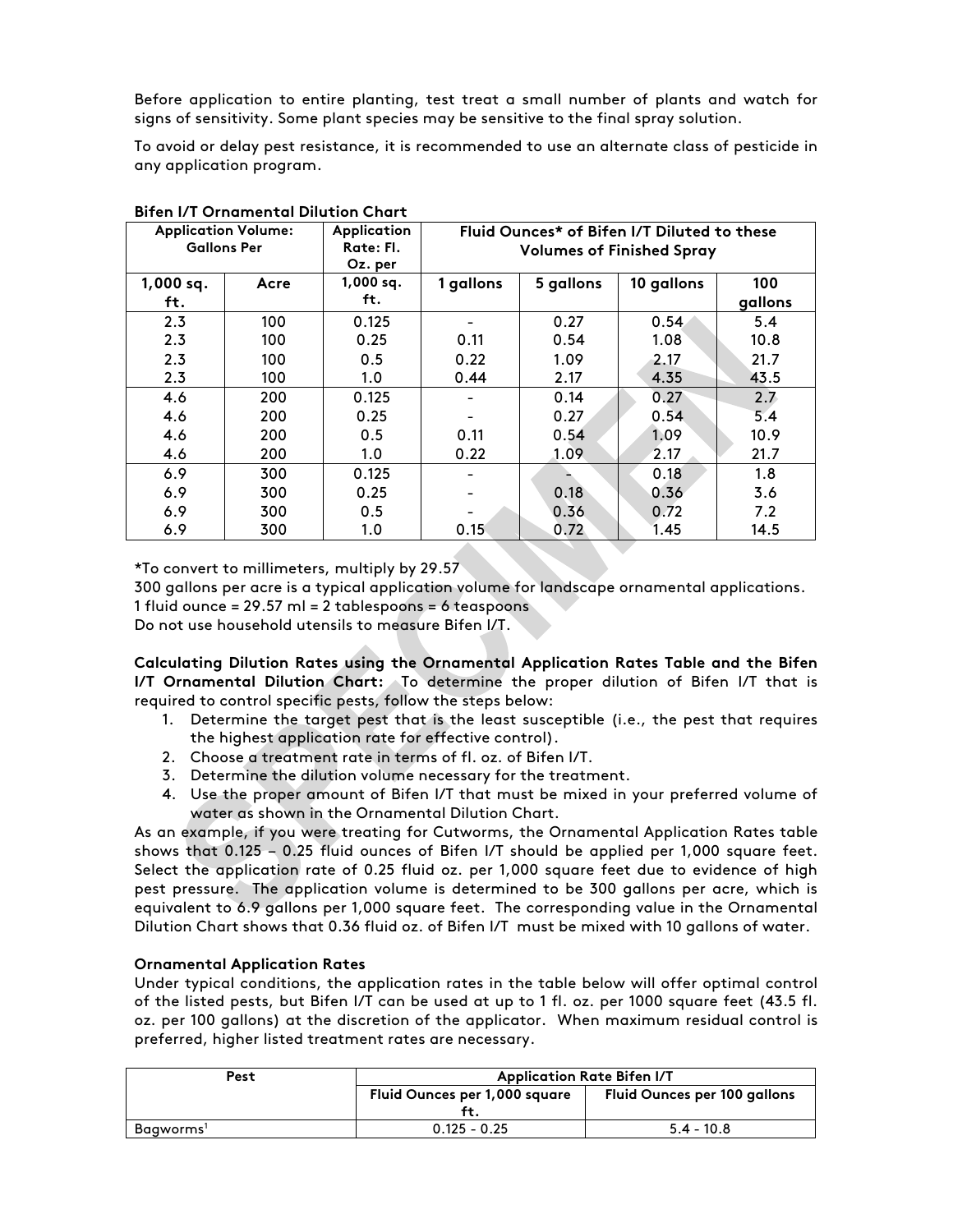Before application to entire planting, test treat a small number of plants and watch for signs of sensitivity. Some plant species may be sensitive to the final spray solution.

To avoid or delay pest resistance, it is recommended to use an alternate class of pesticide in any application program.

|             | <b>Application Volume:</b><br><b>Gallons Per</b> | Application<br>Rate: Fl.<br>Oz. per | Fluid Ounces* of Bifen I/T Diluted to these<br><b>Volumes of Finished Spray</b> |           |            |         |
|-------------|--------------------------------------------------|-------------------------------------|---------------------------------------------------------------------------------|-----------|------------|---------|
| $1,000$ sq. | Acre                                             | $1,000$ sq.<br>ft.                  | 1 gallons                                                                       | 5 gallons | 10 gallons | 100     |
| ft.         |                                                  |                                     |                                                                                 |           |            | gallons |
| 2.3         | 100                                              | 0.125                               |                                                                                 | 0.27      | 0.54       | 5.4     |
| 2.3         | 100                                              | 0.25                                | 0.11                                                                            | 0.54      | 1.08       | 10.8    |
| 2.3         | 100                                              | 0.5                                 | 0.22                                                                            | 1.09      | 2.17       | 21.7    |
| 2.3         | 100                                              | 1.0                                 | 0.44                                                                            | 2.17      | 4.35       | 43.5    |
| 4.6         | 200                                              | 0.125                               |                                                                                 | 0.14      | 0.27       | 2.7     |
| 4.6         | 200                                              | 0.25                                |                                                                                 | 0.27      | 0.54       | 5.4     |
| 4.6         | 200                                              | 0.5                                 | 0.11                                                                            | 0.54      | 1.09       | 10.9    |
| 4.6         | 200                                              | 1.0                                 | 0.22                                                                            | 1.09      | 2.17       | 21.7    |
| 6.9         | 300                                              | 0.125                               |                                                                                 |           | 0.18       | 1.8     |
| 6.9         | 300                                              | 0.25                                |                                                                                 | 0.18      | 0.36       | 3.6     |
| 6.9         | 300                                              | 0.5                                 |                                                                                 | 0.36      | 0.72       | 7.2     |
| 6.9         | 300                                              | 1.0                                 | 0.15                                                                            | 0.72      | 1.45       | 14.5    |

**Bifen I/T Ornamental Dilution Chart**

\*To convert to millimeters, multiply by 29.57

300 gallons per acre is a typical application volume for landscape ornamental applications. 1 fluid ounce = 29.57 ml = 2 tablespoons = 6 teaspoons

Do not use household utensils to measure Bifen I/T.

**Calculating Dilution Rates using the Ornamental Application Rates Table and the Bifen I/T Ornamental Dilution Chart:** To determine the proper dilution of Bifen I/T that is required to control specific pests, follow the steps below:

- 1. Determine the target pest that is the least susceptible (i.e., the pest that requires the highest application rate for effective control).
- 2. Choose a treatment rate in terms of fl. oz. of Bifen I/T.
- 3. Determine the dilution volume necessary for the treatment.
- 4. Use the proper amount of Bifen I/T that must be mixed in your preferred volume of water as shown in the Ornamental Dilution Chart.

As an example, if you were treating for Cutworms, the Ornamental Application Rates table shows that 0.125 – 0.25 fluid ounces of Bifen I/T should be applied per 1,000 square feet. Select the application rate of 0.25 fluid oz. per 1,000 square feet due to evidence of high pest pressure. The application volume is determined to be 300 gallons per acre, which is equivalent to 6.9 gallons per 1,000 square feet. The corresponding value in the Ornamental Dilution Chart shows that 0.36 fluid oz. of Bifen I/T must be mixed with 10 gallons of water.

#### **Ornamental Application Rates**

Under typical conditions, the application rates in the table below will offer optimal control of the listed pests, but Bifen I/T can be used at up to 1 fl. oz. per 1000 square feet (43.5 fl. oz. per 100 gallons) at the discretion of the applicator. When maximum residual control is preferred, higher listed treatment rates are necessary.

| Pest      | <b>Application Rate Bifen I/T</b> |                                     |  |  |
|-----------|-----------------------------------|-------------------------------------|--|--|
|           | Fluid Ounces per 1,000 square     | <b>Fluid Ounces per 100 gallons</b> |  |  |
|           |                                   |                                     |  |  |
| Baaworms' | $0.125 - 0.25$                    | $5.4 - 10.8$                        |  |  |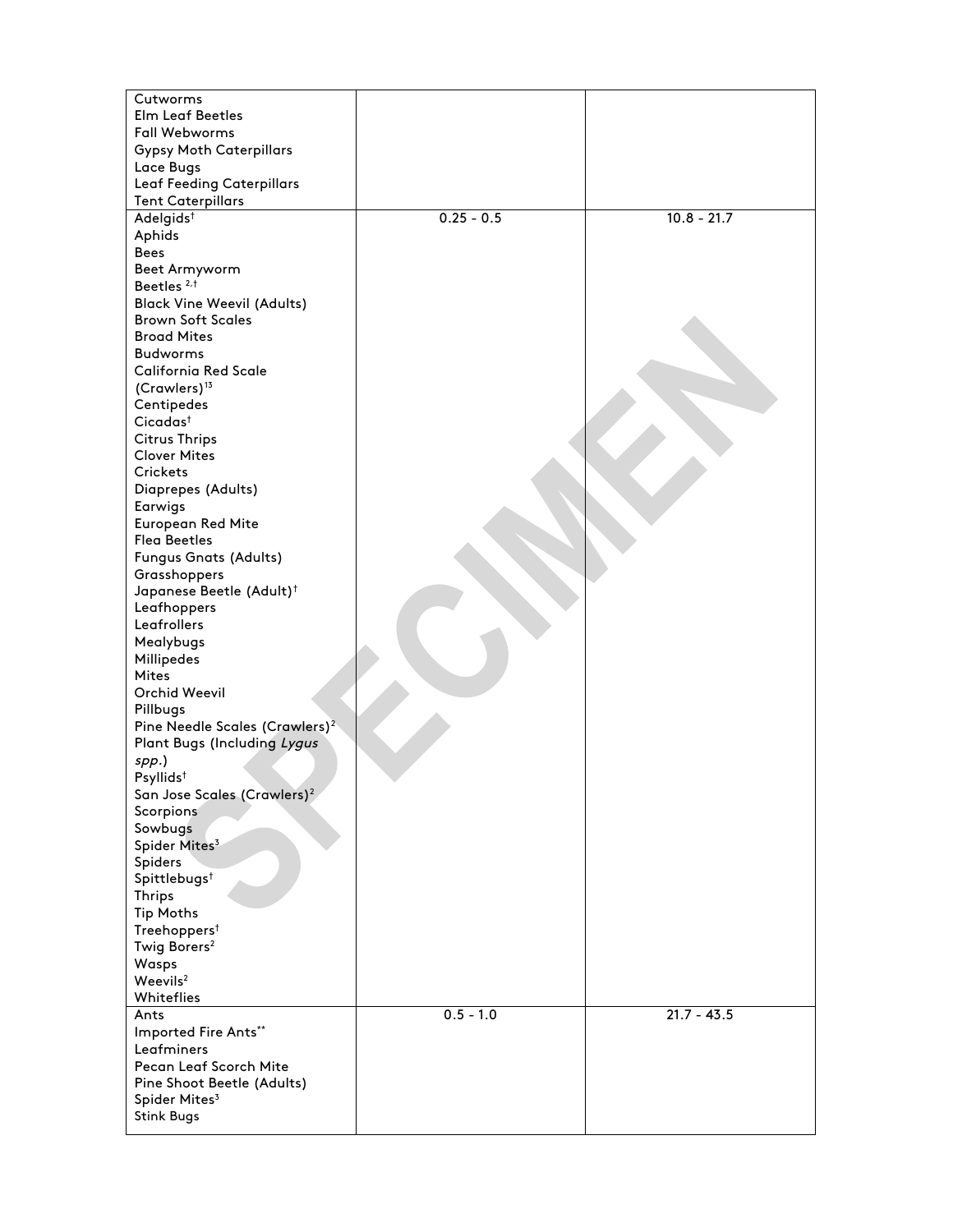| Cutworms<br><b>Elm Leaf Beetles</b><br><b>Fall Webworms</b> |              |               |
|-------------------------------------------------------------|--------------|---------------|
| <b>Gypsy Moth Caterpillars</b>                              |              |               |
| Lace Bugs                                                   |              |               |
| <b>Leaf Feeding Caterpillars</b>                            |              |               |
| <b>Tent Caterpillars</b>                                    |              |               |
| Adelgids <sup>t</sup><br>Aphids                             | $0.25 - 0.5$ | $10.8 - 21.7$ |
| Bees                                                        |              |               |
| Beet Armyworm                                               |              |               |
| Beetles <sup>2,t</sup>                                      |              |               |
| <b>Black Vine Weevil (Adults)</b>                           |              |               |
| <b>Brown Soft Scales</b>                                    |              |               |
| <b>Broad Mites</b>                                          |              |               |
| <b>Budworms</b>                                             |              |               |
| <b>California Red Scale</b>                                 |              |               |
| (Crawlers) <sup>13</sup>                                    |              |               |
| Centipedes                                                  |              |               |
| Cicadas <sup>†</sup>                                        |              |               |
| <b>Citrus Thrips</b>                                        |              |               |
| <b>Clover Mites</b>                                         |              |               |
| <b>Crickets</b>                                             |              |               |
| Diaprepes (Adults)                                          |              |               |
| Earwigs<br>European Red Mite                                |              |               |
| <b>Flea Beetles</b>                                         |              |               |
| Fungus Gnats (Adults)                                       |              |               |
| Grasshoppers                                                |              |               |
| Japanese Beetle (Adult) <sup>†</sup>                        |              |               |
| Leafhoppers                                                 |              |               |
| Leafrollers                                                 |              |               |
| Mealybugs                                                   |              |               |
| Millipedes                                                  |              |               |
| <b>Mites</b>                                                |              |               |
| Orchid Weevil                                               |              |               |
| Pillbugs                                                    |              |               |
| Pine Needle Scales (Crawlers) <sup>2</sup>                  |              |               |
| Plant Bugs (Including Lygus                                 |              |               |
| spp.)<br>Psyllids <sup>t</sup>                              |              |               |
| San Jose Scales (Crawlers) <sup>2</sup>                     |              |               |
| Scorpions                                                   |              |               |
| Sowbugs                                                     |              |               |
| Spider Mites <sup>3</sup>                                   |              |               |
| Spiders                                                     |              |               |
| Spittlebugs <sup>†</sup>                                    |              |               |
| <b>Thrips</b>                                               |              |               |
| <b>Tip Moths</b>                                            |              |               |
| Treehoppers <sup>†</sup>                                    |              |               |
| Twig Borers <sup>2</sup>                                    |              |               |
| Wasps<br>Weevils <sup>2</sup>                               |              |               |
| Whiteflies                                                  |              |               |
| Ants                                                        | $0.5 - 1.0$  | $21.7 - 43.5$ |
| Imported Fire Ants**                                        |              |               |
| Leafminers                                                  |              |               |
| Pecan Leaf Scorch Mite                                      |              |               |
| Pine Shoot Beetle (Adults)                                  |              |               |
| Spider Mites <sup>3</sup>                                   |              |               |
| <b>Stink Bugs</b>                                           |              |               |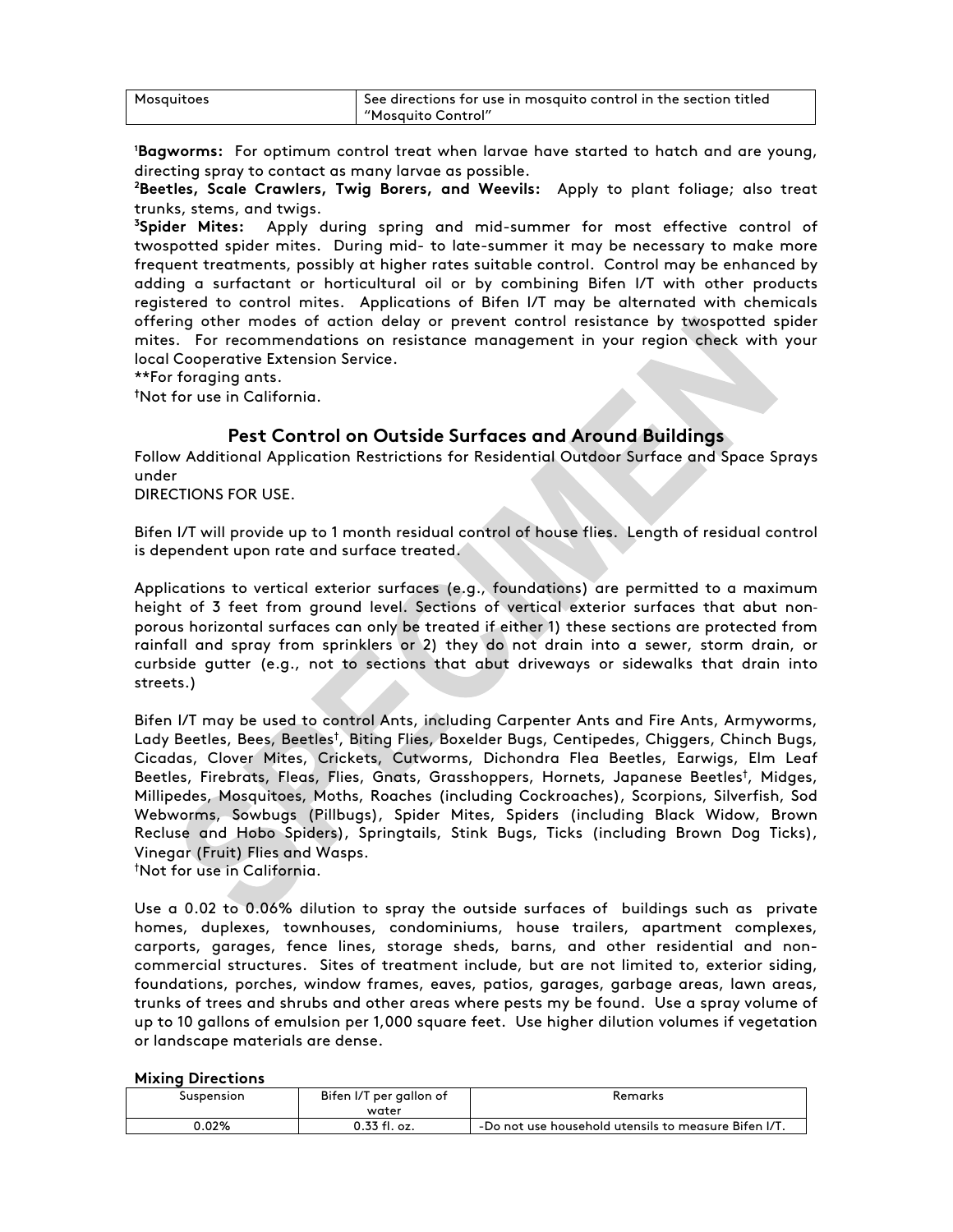| Mosquitoes | $\overline{1}$ See directions for use in mosquito control in the section titled |
|------------|---------------------------------------------------------------------------------|
|            | "Mosquito Control"                                                              |

**1 Bagworms:** For optimum control treat when larvae have started to hatch and are young, directing spray to contact as many larvae as possible.

**2 Beetles, Scale Crawlers, Twig Borers, and Weevils:** Apply to plant foliage; also treat trunks, stems, and twigs.

**3 Spider Mites:** Apply during spring and mid-summer for most effective control of twospotted spider mites. During mid- to late-summer it may be necessary to make more frequent treatments, possibly at higher rates suitable control. Control may be enhanced by adding a surfactant or horticultural oil or by combining Bifen I/T with other products registered to control mites. Applications of Bifen I/T may be alternated with chemicals offering other modes of action delay or prevent control resistance by twospotted spider mites. For recommendations on resistance management in your region check with your local Cooperative Extension Service.

\*\*For foraging ants.

**†** Not for use in California.

### **Pest Control on Outside Surfaces and Around Buildings**

Follow Additional Application Restrictions for Residential Outdoor Surface and Space Sprays under

DIRECTIONS FOR USE.

Bifen I/T will provide up to 1 month residual control of house flies. Length of residual control is dependent upon rate and surface treated.

Applications to vertical exterior surfaces (e.g., foundations) are permitted to a maximum height of 3 feet from ground level. Sections of vertical exterior surfaces that abut nonporous horizontal surfaces can only be treated if either 1) these sections are protected from rainfall and spray from sprinklers or 2) they do not drain into a sewer, storm drain, or curbside gutter (e.g., not to sections that abut driveways or sidewalks that drain into streets.)

Bifen I/T may be used to control Ants, including Carpenter Ants and Fire Ants, Armyworms, Lady Beetles, Bees, Beetles<sup>t</sup>, Biting Flies, Boxelder Bugs, Centipedes, Chiggers, Chinch Bugs, Cicadas, Clover Mites, Crickets, Cutworms, Dichondra Flea Beetles, Earwigs, Elm Leaf Beetles, Firebrats, Fleas, Flies, Gnats, Grasshoppers, Hornets, Japanese Beetles† , Midges, Millipedes, Mosquitoes, Moths, Roaches (including Cockroaches), Scorpions, Silverfish, Sod Webworms, Sowbugs (Pillbugs), Spider Mites, Spiders (including Black Widow, Brown Recluse and Hobo Spiders), Springtails, Stink Bugs, Ticks (including Brown Dog Ticks), Vinegar (Fruit) Flies and Wasps.

† Not for use in California.

Use a 0.02 to 0.06% dilution to spray the outside surfaces of buildings such as private homes, duplexes, townhouses, condominiums, house trailers, apartment complexes, carports, garages, fence lines, storage sheds, barns, and other residential and noncommercial structures. Sites of treatment include, but are not limited to, exterior siding, foundations, porches, window frames, eaves, patios, garages, garbage areas, lawn areas, trunks of trees and shrubs and other areas where pests my be found. Use a spray volume of up to 10 gallons of emulsion per 1,000 square feet. Use higher dilution volumes if vegetation or landscape materials are dense.

#### **Mixing Directions**

| Suspension | Bifen I/T per gallon of<br>water | Remarks                                              |
|------------|----------------------------------|------------------------------------------------------|
| 0.02%      | 0.33 fl. oz.                     | -Do not use household utensils to measure Bifen I/T. |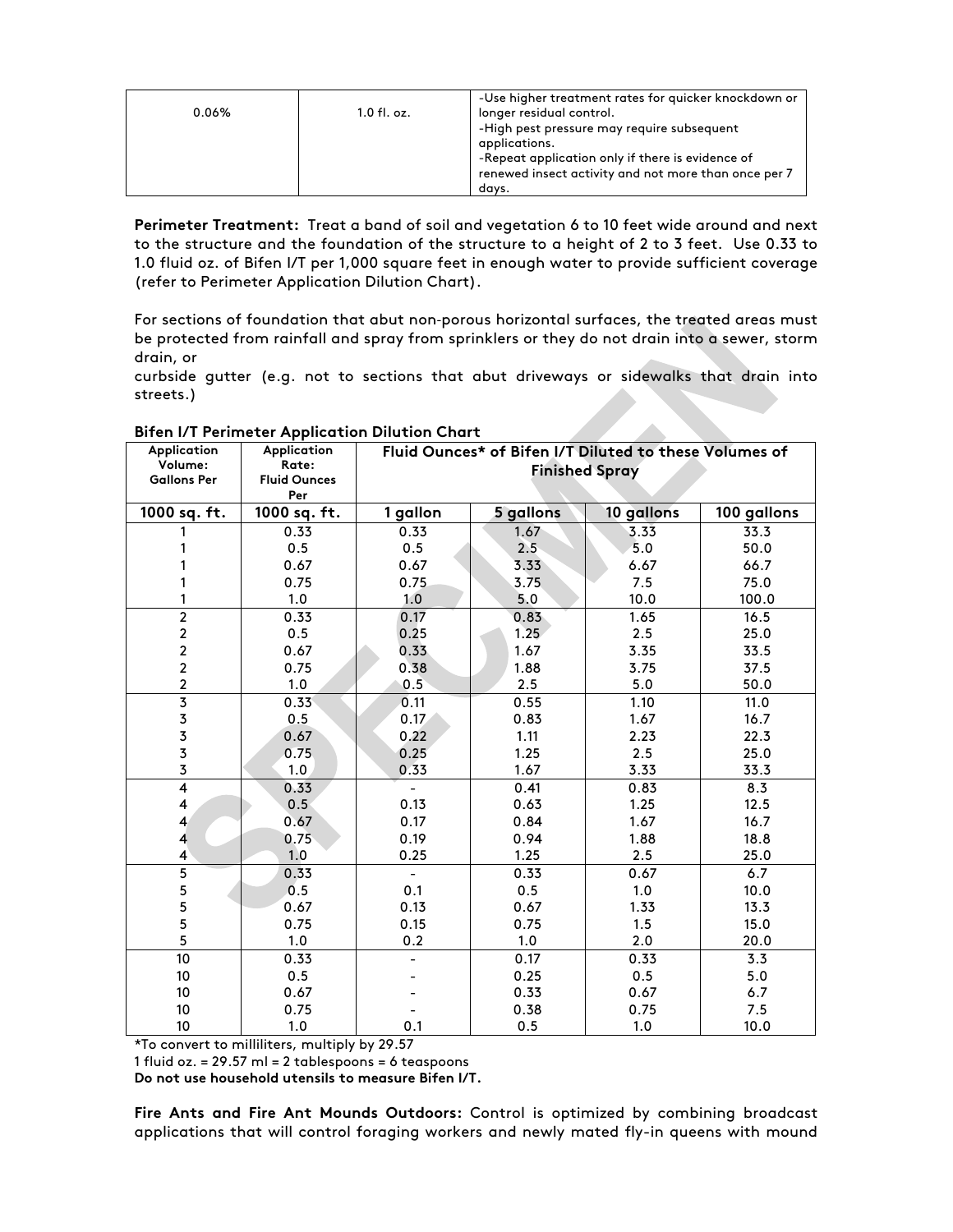|       |               | -Use higher treatment rates for quicker knockdown or |
|-------|---------------|------------------------------------------------------|
| 0.06% | $1.0$ fl. oz. | longer residual control.                             |
|       |               | -High pest pressure may require subsequent           |
|       |               | applications.                                        |
|       |               | -Repeat application only if there is evidence of     |
|       |               | renewed insect activity and not more than once per 7 |
|       |               | davs.                                                |

**Perimeter Treatment:** Treat a band of soil and vegetation 6 to 10 feet wide around and next to the structure and the foundation of the structure to a height of 2 to 3 feet. Use 0.33 to 1.0 fluid oz. of Bifen I/T per 1,000 square feet in enough water to provide sufficient coverage (refer to Perimeter Application Dilution Chart).

For sections of foundation that abut non-porous horizontal surfaces, the treated areas must be protected from rainfall and spray from sprinklers or they do not drain into a sewer, storm drain, or

curbside gutter (e.g. not to sections that abut driveways or sidewalks that drain into streets.)

| Application                                | Application                | Fluid Ounces* of Bifen I/T Diluted to these Volumes of |                       |            |             |
|--------------------------------------------|----------------------------|--------------------------------------------------------|-----------------------|------------|-------------|
| Volume:                                    | Rate:                      |                                                        | <b>Finished Spray</b> |            |             |
| <b>Gallons Per</b>                         | <b>Fluid Ounces</b><br>Per |                                                        |                       |            |             |
| 1000 sq. ft.                               | 1000 sq. ft.               | 1 gallon                                               | 5 gallons             | 10 gallons | 100 gallons |
|                                            | 0.33                       | 0.33                                                   | 1.67                  | 3.33       | 33.3        |
|                                            | 0.5                        | 0.5                                                    | 2.5                   | 5.0        | 50.0        |
|                                            | 0.67                       | 0.67                                                   | 3.33                  | 6.67       | 66.7        |
|                                            | 0.75                       | 0.75                                                   | 3.75                  | 7.5        | 75.0        |
| 1                                          | 1.0                        | 1.0                                                    | 5.0                   | 10.0       | 100.0       |
| $\overline{2}$                             | 0.33                       | 0.17                                                   | 0.83                  | 1.65       | 16.5        |
|                                            | 0.5                        | 0.25                                                   | 1.25                  | 2.5        | 25.0        |
| $\begin{array}{c} 2 \\ 2 \\ 2 \end{array}$ | 0.67                       | 0.33                                                   | 1.67                  | 3.35       | 33.5        |
|                                            | 0.75                       | 0.38                                                   | 1.88                  | 3.75       | 37.5        |
| $\overline{a}$                             | 1.0                        | 0.5                                                    | 2.5                   | 5.0        | 50.0        |
| $\overline{\mathbf{3}}$                    | 0.33                       | 0.11                                                   | 0.55                  | 1.10       | 11.0        |
|                                            | 0.5                        | 0.17                                                   | 0.83                  | 1.67       | 16.7        |
| $\begin{array}{c} 3 \\ 3 \\ 3 \end{array}$ | 0.67                       | 0.22                                                   | 1.11                  | 2.23       | 22.3        |
|                                            | 0.75                       | 0.25                                                   | 1.25                  | 2.5        | 25.0        |
| $\overline{3}$                             | 1.0                        | 0.33                                                   | 1.67                  | 3.33       | 33.3        |
| $\overline{\mathbf{4}}$                    | 0.33                       |                                                        | 0.41                  | 0.83       | 8.3         |
| 4                                          | 0.5                        | 0.13                                                   | 0.63                  | 1.25       | 12.5        |
| $\overline{\mathbf{4}}$                    | 0.67                       | 0.17                                                   | 0.84                  | 1.67       | 16.7        |
| $\overline{\mathbf{4}}$                    | 0.75                       | 0.19                                                   | 0.94                  | 1.88       | 18.8        |
| $\overline{\mathbf{4}}$                    | 1.0                        | 0.25                                                   | 1.25                  | 2.5        | 25.0        |
| $\overline{\mathbf{5}}$                    | 0.33                       | $\blacksquare$                                         | 0.33                  | 0.67       | 6.7         |
| 5                                          | 0.5                        | 0.1                                                    | 0.5                   | 1.0        | 10.0        |
| 5                                          | 0.67                       | 0.13                                                   | 0.67                  | 1.33       | 13.3        |
| 5                                          | 0.75                       | 0.15                                                   | 0.75                  | 1.5        | 15.0        |
| 5                                          | 1.0                        | 0.2                                                    | 1.0                   | 2.0        | 20.0        |
| 10                                         | 0.33                       |                                                        | 0.17                  | 0.33       | 3.3         |
| 10                                         | 0.5                        |                                                        | 0.25                  | 0.5        | 5.0         |
| 10                                         | 0.67                       |                                                        | 0.33                  | 0.67       | 6.7         |
| 10                                         | 0.75                       |                                                        | 0.38                  | 0.75       | 7.5         |
| 10                                         | 1.0                        | 0.1                                                    | 0.5                   | 1.0        | 10.0        |

#### **Bifen I/T Perimeter Application Dilution Chart**

\*To convert to milliliters, multiply by 29.57

1 fluid oz. = 29.57 ml = 2 tablespoons = 6 teaspoons

**Do not use household utensils to measure Bifen I/T.**

**Fire Ants and Fire Ant Mounds Outdoors:** Control is optimized by combining broadcast applications that will control foraging workers and newly mated fly-in queens with mound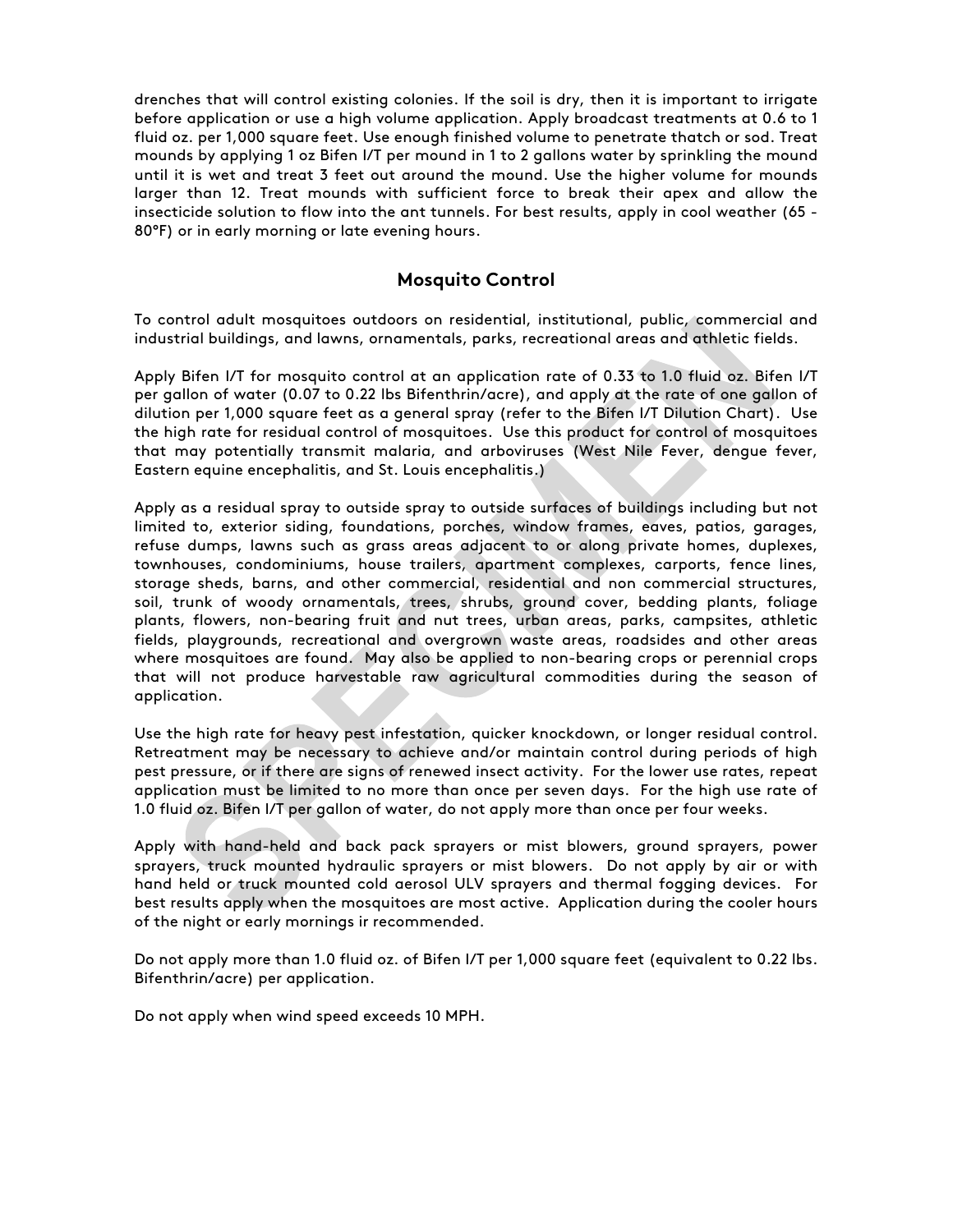drenches that will control existing colonies. If the soil is dry, then it is important to irrigate before application or use a high volume application. Apply broadcast treatments at 0.6 to 1 fluid oz. per 1,000 square feet. Use enough finished volume to penetrate thatch or sod. Treat mounds by applying 1 oz Bifen I/T per mound in 1 to 2 gallons water by sprinkling the mound until it is wet and treat 3 feet out around the mound. Use the higher volume for mounds larger than 12. Treat mounds with sufficient force to break their apex and allow the insecticide solution to flow into the ant tunnels. For best results, apply in cool weather (65 - 80°F) or in early morning or late evening hours.

# **Mosquito Control**

To control adult mosquitoes outdoors on residential, institutional, public, commercial and industrial buildings, and lawns, ornamentals, parks, recreational areas and athletic fields.

Apply Bifen I/T for mosquito control at an application rate of 0.33 to 1.0 fluid oz. Bifen I/T per gallon of water (0.07 to 0.22 lbs Bifenthrin/acre), and apply at the rate of one gallon of dilution per 1,000 square feet as a general spray (refer to the Bifen I/T Dilution Chart). Use the high rate for residual control of mosquitoes. Use this product for control of mosquitoes that may potentially transmit malaria, and arboviruses (West Nile Fever, dengue fever, Eastern equine encephalitis, and St. Louis encephalitis.)

Apply as a residual spray to outside spray to outside surfaces of buildings including but not limited to, exterior siding, foundations, porches, window frames, eaves, patios, garages, refuse dumps, lawns such as grass areas adjacent to or along private homes, duplexes, townhouses, condominiums, house trailers, apartment complexes, carports, fence lines, storage sheds, barns, and other commercial, residential and non commercial structures, soil, trunk of woody ornamentals, trees, shrubs, ground cover, bedding plants, foliage plants, flowers, non-bearing fruit and nut trees, urban areas, parks, campsites, athletic fields, playgrounds, recreational and overgrown waste areas, roadsides and other areas where mosquitoes are found. May also be applied to non-bearing crops or perennial crops that will not produce harvestable raw agricultural commodities during the season of application.

Use the high rate for heavy pest infestation, quicker knockdown, or longer residual control. Retreatment may be necessary to achieve and/or maintain control during periods of high pest pressure, or if there are signs of renewed insect activity. For the lower use rates, repeat application must be limited to no more than once per seven days. For the high use rate of 1.0 fluid oz. Bifen I/T per gallon of water, do not apply more than once per four weeks.

Apply with hand-held and back pack sprayers or mist blowers, ground sprayers, power sprayers, truck mounted hydraulic sprayers or mist blowers. Do not apply by air or with hand held or truck mounted cold aerosol ULV sprayers and thermal fogging devices. For best results apply when the mosquitoes are most active. Application during the cooler hours of the night or early mornings ir recommended.

Do not apply more than 1.0 fluid oz. of Bifen I/T per 1,000 square feet (equivalent to 0.22 lbs. Bifenthrin/acre) per application.

Do not apply when wind speed exceeds 10 MPH.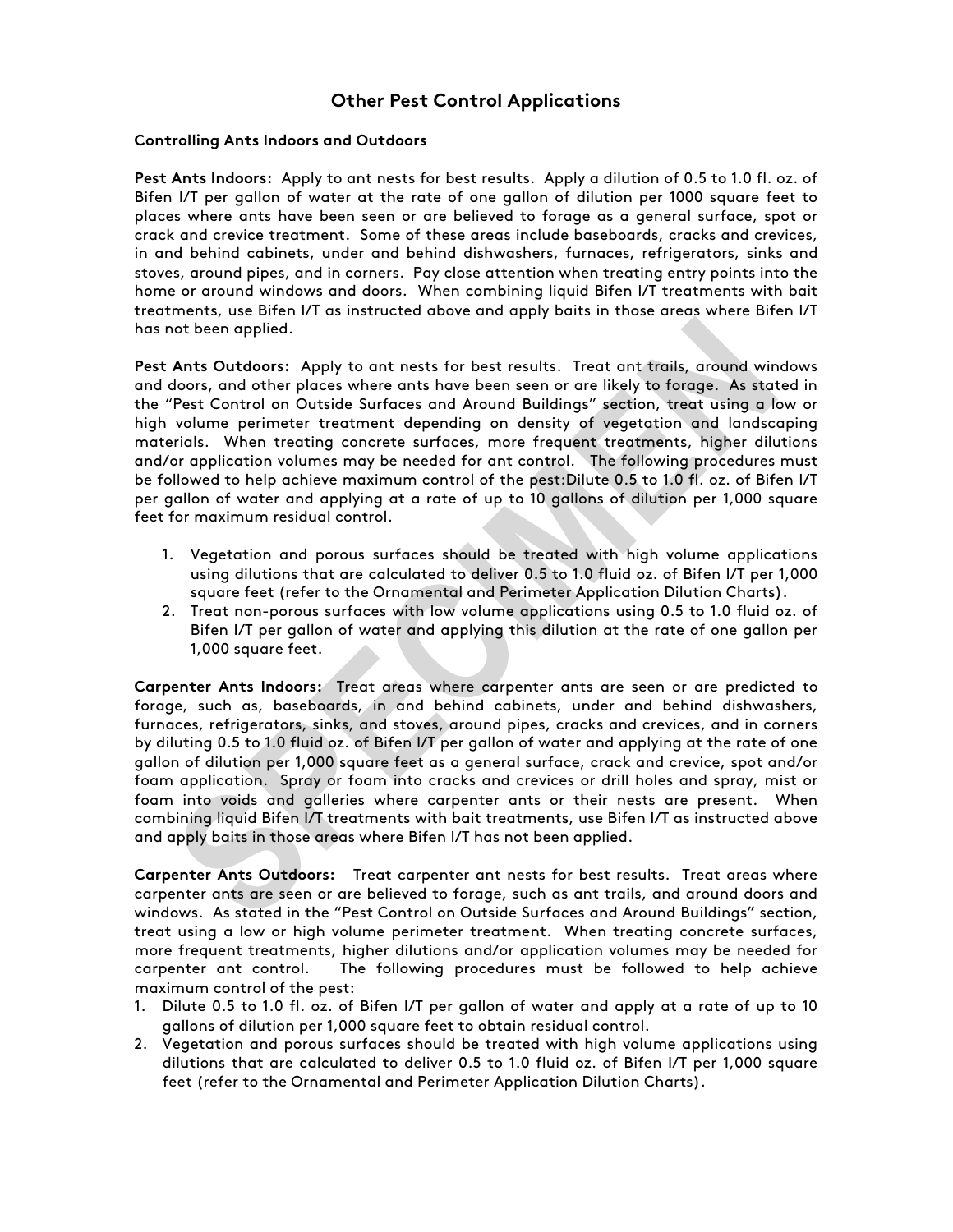# **Other Pest Control Applications**

#### **Controlling Ants Indoors and Outdoors**

**Pest Ants Indoors:** Apply to ant nests for best results. Apply a dilution of 0.5 to 1.0 fl. oz. of Bifen I/T per gallon of water at the rate of one gallon of dilution per 1000 square feet to places where ants have been seen or are believed to forage as a general surface, spot or crack and crevice treatment. Some of these areas include baseboards, cracks and crevices, in and behind cabinets, under and behind dishwashers, furnaces, refrigerators, sinks and stoves, around pipes, and in corners. Pay close attention when treating entry points into the home or around windows and doors. When combining liquid Bifen I/T treatments with bait treatments, use Bifen I/T as instructed above and apply baits in those areas where Bifen I/T has not been applied.

**Pest Ants Outdoors:** Apply to ant nests for best results. Treat ant trails, around windows and doors, and other places where ants have been seen or are likely to forage. As stated in the "Pest Control on Outside Surfaces and Around Buildings" section, treat using a low or high volume perimeter treatment depending on density of vegetation and landscaping materials. When treating concrete surfaces, more frequent treatments, higher dilutions and/or application volumes may be needed for ant control. The following procedures must be followed to help achieve maximum control of the pest:Dilute 0.5 to 1.0 fl. oz. of Bifen I/T per gallon of water and applying at a rate of up to 10 gallons of dilution per 1,000 square feet for maximum residual control.

- 1. Vegetation and porous surfaces should be treated with high volume applications using dilutions that are calculated to deliver 0.5 to 1.0 fluid oz. of Bifen I/T per 1,000 square feet (refer to the Ornamental and Perimeter Application Dilution Charts).
- 2. Treat non-porous surfaces with low volume applications using 0.5 to 1.0 fluid oz. of Bifen I/T per gallon of water and applying this dilution at the rate of one gallon per 1,000 square feet.

**Carpenter Ants Indoors:** Treat areas where carpenter ants are seen or are predicted to forage, such as, baseboards, in and behind cabinets, under and behind dishwashers, furnaces, refrigerators, sinks, and stoves, around pipes, cracks and crevices, and in corners by diluting 0.5 to 1.0 fluid oz. of Bifen I/T per gallon of water and applying at the rate of one gallon of dilution per 1,000 square feet as a general surface, crack and crevice, spot and/or foam application. Spray or foam into cracks and crevices or drill holes and spray, mist or foam into voids and galleries where carpenter ants or their nests are present. When combining liquid Bifen I/T treatments with bait treatments, use Bifen I/T as instructed above and apply baits in those areas where Bifen I/T has not been applied.

**Carpenter Ants Outdoors:** Treat carpenter ant nests for best results. Treat areas where carpenter ants are seen or are believed to forage, such as ant trails, and around doors and windows. As stated in the "Pest Control on Outside Surfaces and Around Buildings" section, treat using a low or high volume perimeter treatment. When treating concrete surfaces, more frequent treatments, higher dilutions and/or application volumes may be needed for carpenter ant control. The following procedures must be followed to help achieve maximum control of the pest:

- 1. Dilute 0.5 to 1.0 fl. oz. of Bifen I/T per gallon of water and apply at a rate of up to 10 gallons of dilution per 1,000 square feet to obtain residual control.
- 2. Vegetation and porous surfaces should be treated with high volume applications using dilutions that are calculated to deliver 0.5 to 1.0 fluid oz. of Bifen I/T per 1,000 square feet (refer to the Ornamental and Perimeter Application Dilution Charts).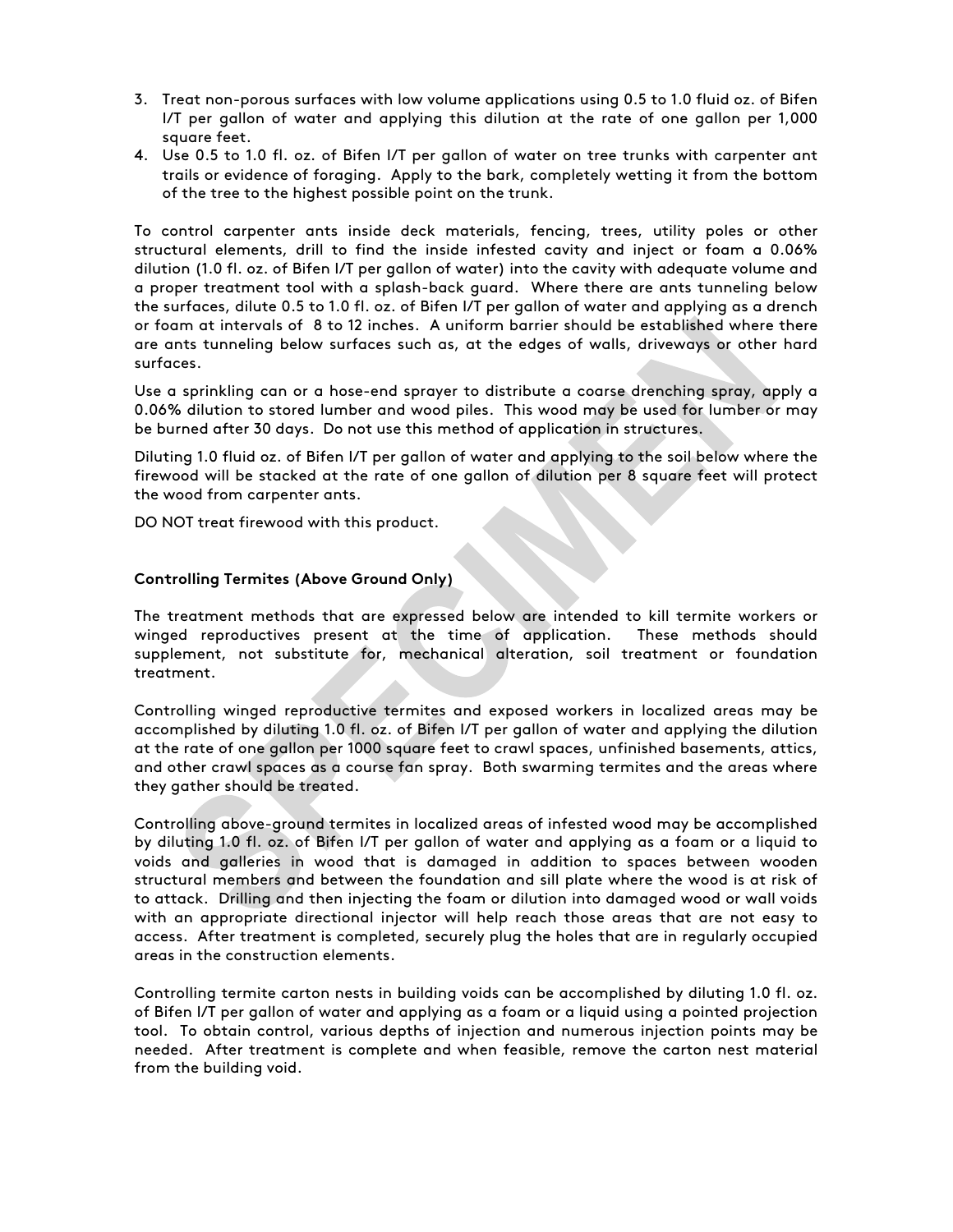- 3. Treat non-porous surfaces with low volume applications using 0.5 to 1.0 fluid oz. of Bifen I/T per gallon of water and applying this dilution at the rate of one gallon per 1,000 square feet.
- 4. Use 0.5 to 1.0 fl. oz. of Bifen I/T per gallon of water on tree trunks with carpenter ant trails or evidence of foraging. Apply to the bark, completely wetting it from the bottom of the tree to the highest possible point on the trunk.

To control carpenter ants inside deck materials, fencing, trees, utility poles or other structural elements, drill to find the inside infested cavity and inject or foam a 0.06% dilution (1.0 fl. oz. of Bifen I/T per gallon of water) into the cavity with adequate volume and a proper treatment tool with a splash-back guard. Where there are ants tunneling below the surfaces, dilute 0.5 to 1.0 fl. oz. of Bifen I/T per gallon of water and applying as a drench or foam at intervals of 8 to 12 inches. A uniform barrier should be established where there are ants tunneling below surfaces such as, at the edges of walls, driveways or other hard surfaces.

Use a sprinkling can or a hose-end sprayer to distribute a coarse drenching spray, apply a 0.06% dilution to stored lumber and wood piles. This wood may be used for lumber or may be burned after 30 days. Do not use this method of application in structures.

Diluting 1.0 fluid oz. of Bifen I/T per gallon of water and applying to the soil below where the firewood will be stacked at the rate of one gallon of dilution per 8 square feet will protect the wood from carpenter ants.

DO NOT treat firewood with this product.

#### **Controlling Termites (Above Ground Only)**

The treatment methods that are expressed below are intended to kill termite workers or winged reproductives present at the time of application. These methods should supplement, not substitute for, mechanical alteration, soil treatment or foundation treatment.

Controlling winged reproductive termites and exposed workers in localized areas may be accomplished by diluting 1.0 fl. oz. of Bifen I/T per gallon of water and applying the dilution at the rate of one gallon per 1000 square feet to crawl spaces, unfinished basements, attics, and other crawl spaces as a course fan spray. Both swarming termites and the areas where they gather should be treated.

Controlling above-ground termites in localized areas of infested wood may be accomplished by diluting 1.0 fl. oz. of Bifen I/T per gallon of water and applying as a foam or a liquid to voids and galleries in wood that is damaged in addition to spaces between wooden structural members and between the foundation and sill plate where the wood is at risk of to attack. Drilling and then injecting the foam or dilution into damaged wood or wall voids with an appropriate directional injector will help reach those areas that are not easy to access. After treatment is completed, securely plug the holes that are in regularly occupied areas in the construction elements.

Controlling termite carton nests in building voids can be accomplished by diluting 1.0 fl. oz. of Bifen I/T per gallon of water and applying as a foam or a liquid using a pointed projection tool. To obtain control, various depths of injection and numerous injection points may be needed. After treatment is complete and when feasible, remove the carton nest material from the building void.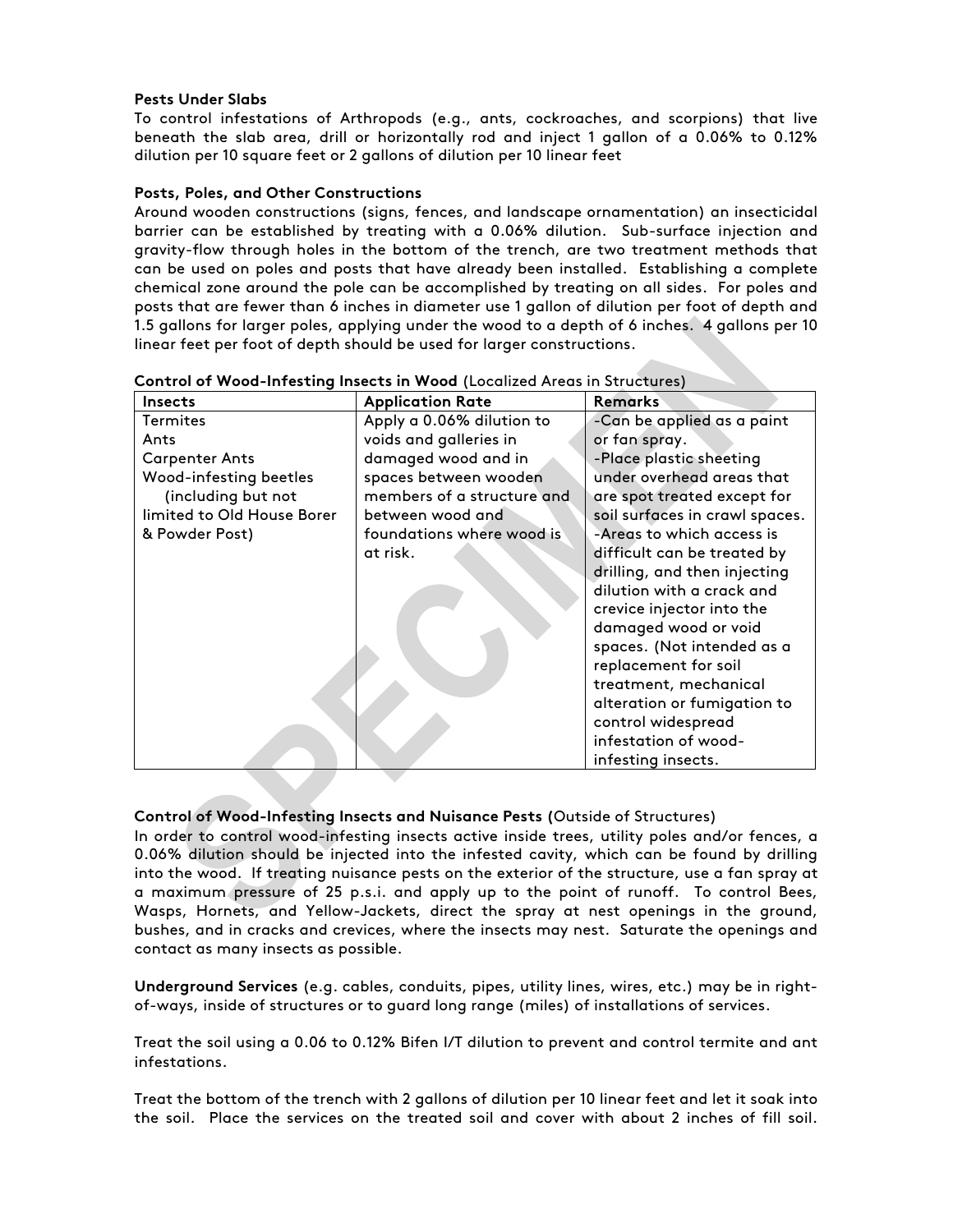#### **Pests Under Slabs**

To control infestations of Arthropods (e.g., ants, cockroaches, and scorpions) that live beneath the slab area, drill or horizontally rod and inject 1 gallon of a 0.06% to 0.12% dilution per 10 square feet or 2 gallons of dilution per 10 linear feet

#### **Posts, Poles, and Other Constructions**

Around wooden constructions (signs, fences, and landscape ornamentation) an insecticidal barrier can be established by treating with a 0.06% dilution. Sub-surface injection and gravity-flow through holes in the bottom of the trench, are two treatment methods that can be used on poles and posts that have already been installed. Establishing a complete chemical zone around the pole can be accomplished by treating on all sides. For poles and posts that are fewer than 6 inches in diameter use 1 gallon of dilution per foot of depth and 1.5 gallons for larger poles, applying under the wood to a depth of 6 inches. 4 gallons per 10 linear feet per foot of depth should be used for larger constructions.

| Insects                    | <b>Application Rate</b>    | <b>Remarks</b>                 |
|----------------------------|----------------------------|--------------------------------|
| <b>Termites</b>            | Apply a 0.06% dilution to  | -Can be applied as a paint     |
| Ants                       | voids and galleries in     | or fan spray.                  |
| <b>Carpenter Ants</b>      | damaged wood and in        | -Place plastic sheeting        |
| Wood-infesting beetles     | spaces between wooden      | under overhead areas that      |
| (including but not         | members of a structure and | are spot treated except for    |
| limited to Old House Borer | between wood and           | soil surfaces in crawl spaces. |
| & Powder Post)             | foundations where wood is  | -Areas to which access is      |
|                            | at risk.                   | difficult can be treated by    |
|                            |                            | drilling, and then injecting   |
|                            |                            | dilution with a crack and      |
|                            |                            | crevice injector into the      |
|                            |                            | damaged wood or void           |
|                            |                            | spaces. (Not intended as a     |
|                            |                            | replacement for soil           |
|                            |                            | treatment, mechanical          |
|                            |                            | alteration or fumigation to    |
|                            |                            | control widespread             |
|                            |                            | infestation of wood-           |
|                            |                            | infesting insects.             |

**Control of Wood-Infesting Insects in Wood** (Localized Areas in Structures)

#### **Control of Wood-Infesting Insects and Nuisance Pests (**Outside of Structures)

In order to control wood-infesting insects active inside trees, utility poles and/or fences, a 0.06% dilution should be injected into the infested cavity, which can be found by drilling into the wood. If treating nuisance pests on the exterior of the structure, use a fan spray at a maximum pressure of 25 p.s.i. and apply up to the point of runoff. To control Bees, Wasps, Hornets, and Yellow-Jackets, direct the spray at nest openings in the ground, bushes, and in cracks and crevices, where the insects may nest. Saturate the openings and contact as many insects as possible.

**Underground Services** (e.g. cables, conduits, pipes, utility lines, wires, etc.) may be in rightof-ways, inside of structures or to guard long range (miles) of installations of services.

Treat the soil using a 0.06 to 0.12% Bifen I/T dilution to prevent and control termite and ant infestations.

Treat the bottom of the trench with 2 gallons of dilution per 10 linear feet and let it soak into the soil. Place the services on the treated soil and cover with about 2 inches of fill soil.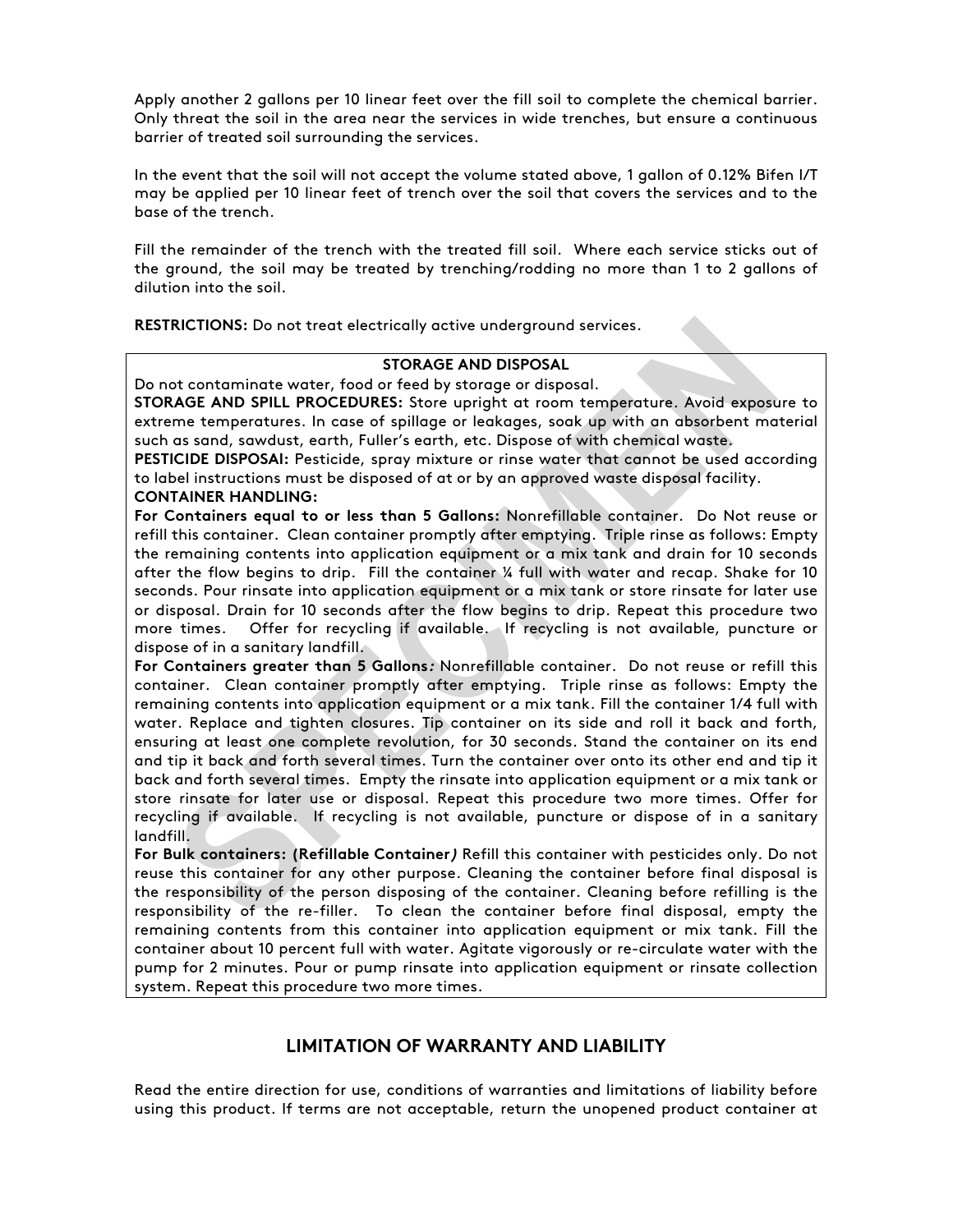Apply another 2 gallons per 10 linear feet over the fill soil to complete the chemical barrier. Only threat the soil in the area near the services in wide trenches, but ensure a continuous barrier of treated soil surrounding the services.

In the event that the soil will not accept the volume stated above, 1 gallon of 0.12% Bifen I/T may be applied per 10 linear feet of trench over the soil that covers the services and to the base of the trench.

Fill the remainder of the trench with the treated fill soil. Where each service sticks out of the ground, the soil may be treated by trenching/rodding no more than 1 to 2 gallons of dilution into the soil.

**RESTRICTIONS:** Do not treat electrically active underground services.

#### **STORAGE AND DISPOSAL**

Do not contaminate water, food or feed by storage or disposal.

**STORAGE AND SPILL PROCEDURES:** Store upright at room temperature. Avoid exposure to extreme temperatures. In case of spillage or leakages, soak up with an absorbent material such as sand, sawdust, earth, Fuller's earth, etc. Dispose of with chemical waste.

**PESTICIDE DISPOSAl:** Pesticide, spray mixture or rinse water that cannot be used according to label instructions must be disposed of at or by an approved waste disposal facility.

#### **CONTAINER HANDLING:**

**For Containers equal to or less than 5 Gallons:** Nonrefillable container. Do Not reuse or refill this container. Clean container promptly after emptying. Triple rinse as follows: Empty the remaining contents into application equipment or a mix tank and drain for 10 seconds after the flow begins to drip. Fill the container ¼ full with water and recap. Shake for 10 seconds. Pour rinsate into application equipment or a mix tank or store rinsate for later use or disposal. Drain for 10 seconds after the flow begins to drip. Repeat this procedure two more times. Offer for recycling if available. If recycling is not available, puncture or dispose of in a sanitary landfill.

**For Containers greater than 5 Gallons:** Nonrefillable container. Do not reuse or refill this container. Clean container promptly after emptying. Triple rinse as follows: Empty the remaining contents into application equipment or a mix tank. Fill the container 1/4 full with water. Replace and tighten closures. Tip container on its side and roll it back and forth, ensuring at least one complete revolution, for 30 seconds. Stand the container on its end and tip it back and forth several times. Turn the container over onto its other end and tip it back and forth several times. Empty the rinsate into application equipment or a mix tank or store rinsate for later use or disposal. Repeat this procedure two more times. Offer for recycling if available. If recycling is not available, puncture or dispose of in a sanitary landfill.

**For Bulk containers: (Refillable Container)** Refill this container with pesticides only. Do not reuse this container for any other purpose. Cleaning the container before final disposal is the responsibility of the person disposing of the container. Cleaning before refilling is the responsibility of the re-filler. To clean the container before final disposal, empty the remaining contents from this container into application equipment or mix tank. Fill the container about 10 percent full with water. Agitate vigorously or re-circulate water with the pump for 2 minutes. Pour or pump rinsate into application equipment or rinsate collection system. Repeat this procedure two more times.

# **LIMITATION OF WARRANTY AND LIABILITY**

Read the entire direction for use, conditions of warranties and limitations of liability before using this product. If terms are not acceptable, return the unopened product container at